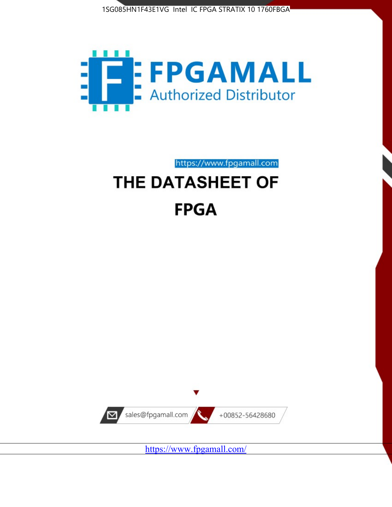



https://www.fpgamall.com

# THE DATASHEET OF **FPGA**



<https://www.fpgamall.com/>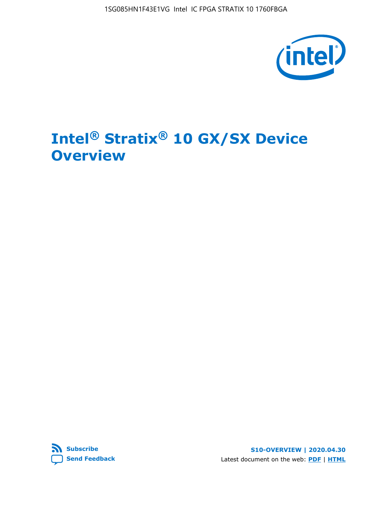

# **Intel® Stratix® 10 GX/SX Device Overview**



**S10-OVERVIEW | 2020.04.30** Latest document on the web: **[PDF](https://www.intel.com/content/dam/www/programmable/us/en/pdfs/literature/hb/stratix-10/s10-overview.pdf)** | **[HTML](https://www.intel.com/content/www/us/en/programmable/documentation/joc1442261161666.html)**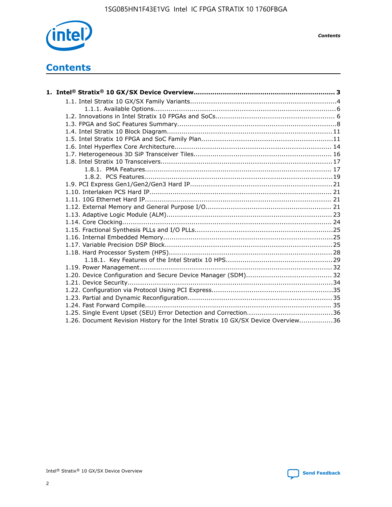

*Contents*

## **Contents**

| 1.26. Document Revision History for the Intel Stratix 10 GX/SX Device Overview36 |  |
|----------------------------------------------------------------------------------|--|

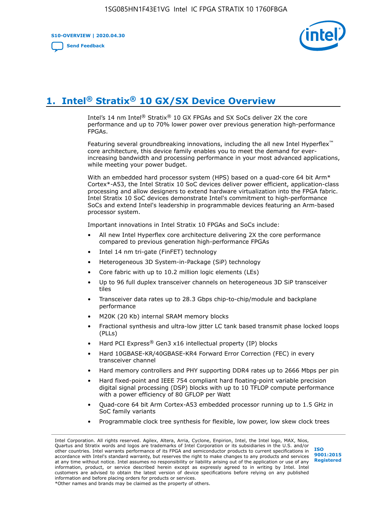**S10-OVERVIEW | 2020.04.30**

**[Send Feedback](mailto:FPGAtechdocfeedback@intel.com?subject=Feedback%20on%20Intel%20Stratix%2010%20GX/SX%20Device%20Overview%20(S10-OVERVIEW%202020.04.30)&body=We%20appreciate%20your%20feedback.%20In%20your%20comments,%20also%20specify%20the%20page%20number%20or%20paragraph.%20Thank%20you.)**



# **1. Intel® Stratix® 10 GX/SX Device Overview**

Intel's 14 nm Intel® Stratix® 10 GX FPGAs and SX SoCs deliver 2X the core performance and up to 70% lower power over previous generation high-performance FPGAs.

Featuring several groundbreaking innovations, including the all new Intel Hyperflex™ core architecture, this device family enables you to meet the demand for everincreasing bandwidth and processing performance in your most advanced applications, while meeting your power budget.

With an embedded hard processor system (HPS) based on a quad-core 64 bit Arm\* Cortex\*-A53, the Intel Stratix 10 SoC devices deliver power efficient, application-class processing and allow designers to extend hardware virtualization into the FPGA fabric. Intel Stratix 10 SoC devices demonstrate Intel's commitment to high-performance SoCs and extend Intel's leadership in programmable devices featuring an Arm-based processor system.

Important innovations in Intel Stratix 10 FPGAs and SoCs include:

- All new Intel Hyperflex core architecture delivering 2X the core performance compared to previous generation high-performance FPGAs
- Intel 14 nm tri-gate (FinFET) technology
- Heterogeneous 3D System-in-Package (SiP) technology
- Core fabric with up to 10.2 million logic elements (LEs)
- Up to 96 full duplex transceiver channels on heterogeneous 3D SiP transceiver tiles
- Transceiver data rates up to 28.3 Gbps chip-to-chip/module and backplane performance
- M20K (20 Kb) internal SRAM memory blocks
- Fractional synthesis and ultra-low jitter LC tank based transmit phase locked loops (PLLs)
- Hard PCI Express<sup>®</sup> Gen3 x16 intellectual property (IP) blocks
- Hard 10GBASE-KR/40GBASE-KR4 Forward Error Correction (FEC) in every transceiver channel
- Hard memory controllers and PHY supporting DDR4 rates up to 2666 Mbps per pin
- Hard fixed-point and IEEE 754 compliant hard floating-point variable precision digital signal processing (DSP) blocks with up to 10 TFLOP compute performance with a power efficiency of 80 GFLOP per Watt
- Quad-core 64 bit Arm Cortex-A53 embedded processor running up to 1.5 GHz in SoC family variants
- Programmable clock tree synthesis for flexible, low power, low skew clock trees

Intel Corporation. All rights reserved. Agilex, Altera, Arria, Cyclone, Enpirion, Intel, the Intel logo, MAX, Nios, Quartus and Stratix words and logos are trademarks of Intel Corporation or its subsidiaries in the U.S. and/or other countries. Intel warrants performance of its FPGA and semiconductor products to current specifications in accordance with Intel's standard warranty, but reserves the right to make changes to any products and services at any time without notice. Intel assumes no responsibility or liability arising out of the application or use of any information, product, or service described herein except as expressly agreed to in writing by Intel. Intel customers are advised to obtain the latest version of device specifications before relying on any published information and before placing orders for products or services. \*Other names and brands may be claimed as the property of others.

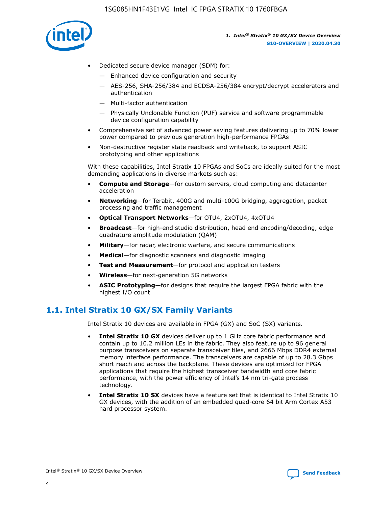

- Dedicated secure device manager (SDM) for:
	- Enhanced device configuration and security
	- AES-256, SHA-256/384 and ECDSA-256/384 encrypt/decrypt accelerators and authentication
	- Multi-factor authentication
	- Physically Unclonable Function (PUF) service and software programmable device configuration capability
- Comprehensive set of advanced power saving features delivering up to 70% lower power compared to previous generation high-performance FPGAs
- Non-destructive register state readback and writeback, to support ASIC prototyping and other applications

With these capabilities, Intel Stratix 10 FPGAs and SoCs are ideally suited for the most demanding applications in diverse markets such as:

- **Compute and Storage**—for custom servers, cloud computing and datacenter acceleration
- **Networking**—for Terabit, 400G and multi-100G bridging, aggregation, packet processing and traffic management
- **Optical Transport Networks**—for OTU4, 2xOTU4, 4xOTU4
- **Broadcast**—for high-end studio distribution, head end encoding/decoding, edge quadrature amplitude modulation (QAM)
- **Military**—for radar, electronic warfare, and secure communications
- **Medical**—for diagnostic scanners and diagnostic imaging
- **Test and Measurement**—for protocol and application testers
- **Wireless**—for next-generation 5G networks
- **ASIC Prototyping**—for designs that require the largest FPGA fabric with the highest I/O count

### **1.1. Intel Stratix 10 GX/SX Family Variants**

Intel Stratix 10 devices are available in FPGA (GX) and SoC (SX) variants.

- **Intel Stratix 10 GX** devices deliver up to 1 GHz core fabric performance and contain up to 10.2 million LEs in the fabric. They also feature up to 96 general purpose transceivers on separate transceiver tiles, and 2666 Mbps DDR4 external memory interface performance. The transceivers are capable of up to 28.3 Gbps short reach and across the backplane. These devices are optimized for FPGA applications that require the highest transceiver bandwidth and core fabric performance, with the power efficiency of Intel's 14 nm tri-gate process technology.
- **Intel Stratix 10 SX** devices have a feature set that is identical to Intel Stratix 10 GX devices, with the addition of an embedded quad-core 64 bit Arm Cortex A53 hard processor system.

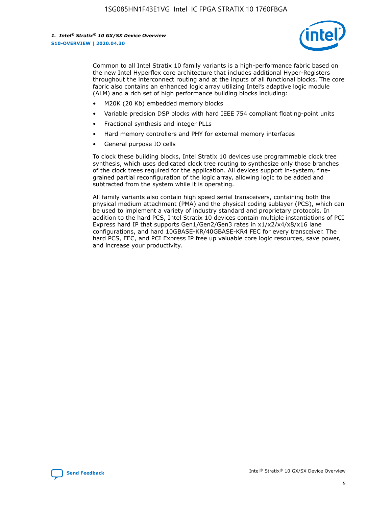

Common to all Intel Stratix 10 family variants is a high-performance fabric based on the new Intel Hyperflex core architecture that includes additional Hyper-Registers throughout the interconnect routing and at the inputs of all functional blocks. The core fabric also contains an enhanced logic array utilizing Intel's adaptive logic module (ALM) and a rich set of high performance building blocks including:

- M20K (20 Kb) embedded memory blocks
- Variable precision DSP blocks with hard IEEE 754 compliant floating-point units
- Fractional synthesis and integer PLLs
- Hard memory controllers and PHY for external memory interfaces
- General purpose IO cells

To clock these building blocks, Intel Stratix 10 devices use programmable clock tree synthesis, which uses dedicated clock tree routing to synthesize only those branches of the clock trees required for the application. All devices support in-system, finegrained partial reconfiguration of the logic array, allowing logic to be added and subtracted from the system while it is operating.

All family variants also contain high speed serial transceivers, containing both the physical medium attachment (PMA) and the physical coding sublayer (PCS), which can be used to implement a variety of industry standard and proprietary protocols. In addition to the hard PCS, Intel Stratix 10 devices contain multiple instantiations of PCI Express hard IP that supports Gen1/Gen2/Gen3 rates in x1/x2/x4/x8/x16 lane configurations, and hard 10GBASE-KR/40GBASE-KR4 FEC for every transceiver. The hard PCS, FEC, and PCI Express IP free up valuable core logic resources, save power, and increase your productivity.

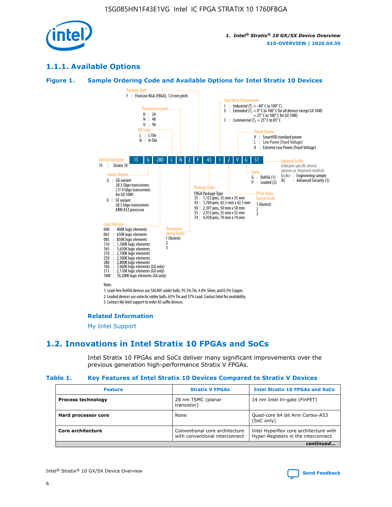

### **1.1.1. Available Options**

#### **Figure 1. Sample Ordering Code and Available Options for Intel Stratix 10 Devices**



3. Contact My Intel support to order AS suffix devices.

#### **Related Information**

[My Intel Support](https://www.intel.com/content/www/us/en/programmable/my-intel/mal-home.html)

### **1.2. Innovations in Intel Stratix 10 FPGAs and SoCs**

Intel Stratix 10 FPGAs and SoCs deliver many significant improvements over the previous generation high-performance Stratix V FPGAs.

#### **Table 1. Key Features of Intel Stratix 10 Devices Compared to Stratix V Devices**

| <b>Feature</b>            | <b>Stratix V FPGAs</b>                                           | <b>Intel Stratix 10 FPGAs and SoCs</b>                                        |  |
|---------------------------|------------------------------------------------------------------|-------------------------------------------------------------------------------|--|
| <b>Process technology</b> | 28 nm TSMC (planar<br>transistor)                                | 14 nm Intel tri-gate (FinFET)                                                 |  |
| Hard processor core       | None                                                             | Quad-core 64 bit Arm Cortex-A53<br>(SoC only)                                 |  |
| Core architecture         | Conventional core architecture<br>with conventional interconnect | Intel Hyperflex core architecture with<br>Hyper-Registers in the interconnect |  |
|                           |                                                                  | continued                                                                     |  |

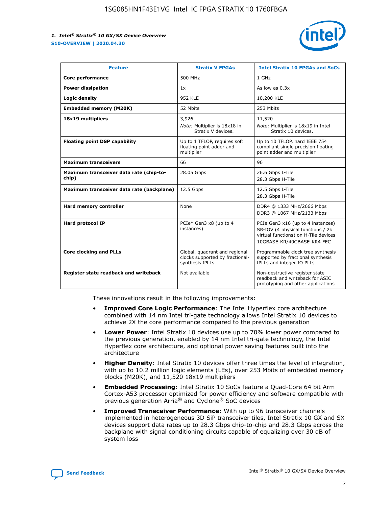

| <b>Feature</b>                                   | <b>Stratix V FPGAs</b>                                                              | <b>Intel Stratix 10 FPGAs and SoCs</b>                                                                                                       |
|--------------------------------------------------|-------------------------------------------------------------------------------------|----------------------------------------------------------------------------------------------------------------------------------------------|
| Core performance                                 | 500 MHz                                                                             | 1 GHz                                                                                                                                        |
| <b>Power dissipation</b>                         | 1x                                                                                  | As low as $0.3x$                                                                                                                             |
| Logic density                                    | 952 KLE                                                                             | 10,200 KLE                                                                                                                                   |
| <b>Embedded memory (M20K)</b>                    | 52 Mbits                                                                            | 253 Mbits                                                                                                                                    |
| 18x19 multipliers                                | 3,926                                                                               | 11,520                                                                                                                                       |
|                                                  | Note: Multiplier is 18x18 in<br>Stratix V devices.                                  | Note: Multiplier is 18x19 in Intel<br>Stratix 10 devices.                                                                                    |
| <b>Floating point DSP capability</b>             | Up to 1 TFLOP, requires soft<br>floating point adder and<br>multiplier              | Up to 10 TFLOP, hard IEEE 754<br>compliant single precision floating<br>point adder and multiplier                                           |
| <b>Maximum transceivers</b>                      | 66                                                                                  | 96                                                                                                                                           |
| Maximum transceiver data rate (chip-to-<br>chip) | 28.05 Gbps                                                                          | 26.6 Gbps L-Tile<br>28.3 Gbps H-Tile                                                                                                         |
| Maximum transceiver data rate (backplane)        | 12.5 Gbps                                                                           | 12.5 Gbps L-Tile<br>28.3 Gbps H-Tile                                                                                                         |
| Hard memory controller                           | None                                                                                | DDR4 @ 1333 MHz/2666 Mbps<br>DDR3 @ 1067 MHz/2133 Mbps                                                                                       |
| <b>Hard protocol IP</b>                          | PCIe* Gen3 x8 (up to 4<br>instances)                                                | PCIe Gen3 x16 (up to 4 instances)<br>SR-IOV (4 physical functions / 2k<br>virtual functions) on H-Tile devices<br>10GBASE-KR/40GBASE-KR4 FEC |
| <b>Core clocking and PLLs</b>                    | Global, quadrant and regional<br>clocks supported by fractional-<br>synthesis fPLLs | Programmable clock tree synthesis<br>supported by fractional synthesis<br>fPLLs and integer IO PLLs                                          |
| Register state readback and writeback            | Not available                                                                       | Non-destructive register state<br>readback and writeback for ASIC<br>prototyping and other applications                                      |

These innovations result in the following improvements:

- **Improved Core Logic Performance**: The Intel Hyperflex core architecture combined with 14 nm Intel tri-gate technology allows Intel Stratix 10 devices to achieve 2X the core performance compared to the previous generation
- **Lower Power**: Intel Stratix 10 devices use up to 70% lower power compared to the previous generation, enabled by 14 nm Intel tri-gate technology, the Intel Hyperflex core architecture, and optional power saving features built into the architecture
- **Higher Density**: Intel Stratix 10 devices offer three times the level of integration, with up to 10.2 million logic elements (LEs), over 253 Mbits of embedded memory blocks (M20K), and 11,520 18x19 multipliers
- **Embedded Processing**: Intel Stratix 10 SoCs feature a Quad-Core 64 bit Arm Cortex-A53 processor optimized for power efficiency and software compatible with previous generation Arria® and Cyclone® SoC devices
- **Improved Transceiver Performance**: With up to 96 transceiver channels implemented in heterogeneous 3D SiP transceiver tiles, Intel Stratix 10 GX and SX devices support data rates up to 28.3 Gbps chip-to-chip and 28.3 Gbps across the backplane with signal conditioning circuits capable of equalizing over 30 dB of system loss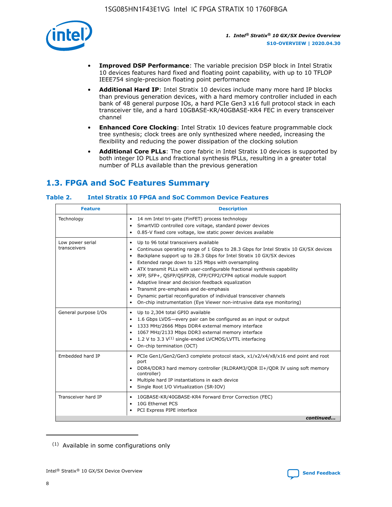

- **Improved DSP Performance**: The variable precision DSP block in Intel Stratix 10 devices features hard fixed and floating point capability, with up to 10 TFLOP IEEE754 single-precision floating point performance
- **Additional Hard IP**: Intel Stratix 10 devices include many more hard IP blocks than previous generation devices, with a hard memory controller included in each bank of 48 general purpose IOs, a hard PCIe Gen3 x16 full protocol stack in each transceiver tile, and a hard 10GBASE-KR/40GBASE-KR4 FEC in every transceiver channel
- **Enhanced Core Clocking**: Intel Stratix 10 devices feature programmable clock tree synthesis; clock trees are only synthesized where needed, increasing the flexibility and reducing the power dissipation of the clocking solution
- **Additional Core PLLs**: The core fabric in Intel Stratix 10 devices is supported by both integer IO PLLs and fractional synthesis fPLLs, resulting in a greater total number of PLLs available than the previous generation

### **1.3. FPGA and SoC Features Summary**

### **Table 2. Intel Stratix 10 FPGA and SoC Common Device Features**

| <b>Feature</b>                   | <b>Description</b>                                                                                                                                                                                                                                                                                                                                                                                                                                                                                                                                                                                                                                                                                                                                   |
|----------------------------------|------------------------------------------------------------------------------------------------------------------------------------------------------------------------------------------------------------------------------------------------------------------------------------------------------------------------------------------------------------------------------------------------------------------------------------------------------------------------------------------------------------------------------------------------------------------------------------------------------------------------------------------------------------------------------------------------------------------------------------------------------|
| Technology                       | 14 nm Intel tri-gate (FinFET) process technology<br>٠<br>SmartVID controlled core voltage, standard power devices<br>0.85-V fixed core voltage, low static power devices available                                                                                                                                                                                                                                                                                                                                                                                                                                                                                                                                                                   |
| Low power serial<br>transceivers | Up to 96 total transceivers available<br>$\bullet$<br>Continuous operating range of 1 Gbps to 28.3 Gbps for Intel Stratix 10 GX/SX devices<br>$\bullet$<br>Backplane support up to 28.3 Gbps for Intel Stratix 10 GX/SX devices<br>$\bullet$<br>Extended range down to 125 Mbps with oversampling<br>$\bullet$<br>ATX transmit PLLs with user-configurable fractional synthesis capability<br>$\bullet$<br>• XFP, SFP+, OSFP/OSFP28, CFP/CFP2/CFP4 optical module support<br>• Adaptive linear and decision feedback equalization<br>Transmit pre-emphasis and de-emphasis<br>Dynamic partial reconfiguration of individual transceiver channels<br>$\bullet$<br>On-chip instrumentation (Eye Viewer non-intrusive data eye monitoring)<br>$\bullet$ |
| General purpose I/Os             | Up to 2,304 total GPIO available<br>$\bullet$<br>1.6 Gbps LVDS-every pair can be configured as an input or output<br>$\bullet$<br>1333 MHz/2666 Mbps DDR4 external memory interface<br>1067 MHz/2133 Mbps DDR3 external memory interface<br>1.2 V to 3.3 $V^{(1)}$ single-ended LVCMOS/LVTTL interfacing<br>$\bullet$<br>On-chip termination (OCT)<br>$\bullet$                                                                                                                                                                                                                                                                                                                                                                                      |
| Embedded hard IP                 | • PCIe Gen1/Gen2/Gen3 complete protocol stack, $x1/x2/x4/x8/x16$ end point and root<br>port<br>DDR4/DDR3 hard memory controller (RLDRAM3/QDR II+/QDR IV using soft memory<br>controller)<br>Multiple hard IP instantiations in each device<br>$\bullet$<br>• Single Root I/O Virtualization (SR-IOV)                                                                                                                                                                                                                                                                                                                                                                                                                                                 |
| Transceiver hard IP              | 10GBASE-KR/40GBASE-KR4 Forward Error Correction (FEC)<br>$\bullet$<br>10G Ethernet PCS<br>$\bullet$<br>• PCI Express PIPE interface<br>continued                                                                                                                                                                                                                                                                                                                                                                                                                                                                                                                                                                                                     |

<sup>(1)</sup> Available in some configurations only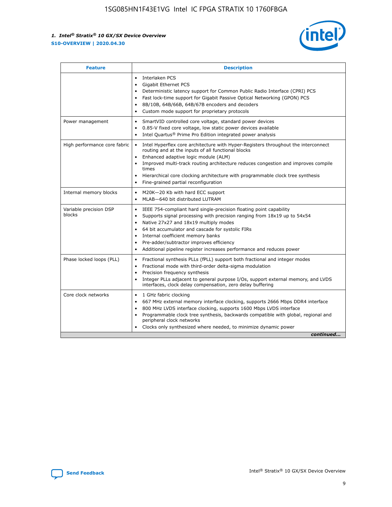

| <b>Feature</b>                   | <b>Description</b>                                                                                                                                                                                                                                                                                                                                                                                                                                                    |  |  |  |
|----------------------------------|-----------------------------------------------------------------------------------------------------------------------------------------------------------------------------------------------------------------------------------------------------------------------------------------------------------------------------------------------------------------------------------------------------------------------------------------------------------------------|--|--|--|
|                                  | Interlaken PCS<br>$\bullet$<br>Gigabit Ethernet PCS<br>$\bullet$<br>Deterministic latency support for Common Public Radio Interface (CPRI) PCS<br>$\bullet$<br>Fast lock-time support for Gigabit Passive Optical Networking (GPON) PCS<br>$\bullet$<br>8B/10B, 64B/66B, 64B/67B encoders and decoders<br>$\bullet$<br>Custom mode support for proprietary protocols<br>$\bullet$                                                                                     |  |  |  |
| Power management                 | SmartVID controlled core voltage, standard power devices<br>$\bullet$<br>0.85-V fixed core voltage, low static power devices available<br>$\bullet$<br>Intel Quartus <sup>®</sup> Prime Pro Edition integrated power analysis<br>٠                                                                                                                                                                                                                                    |  |  |  |
| High performance core fabric     | Intel Hyperflex core architecture with Hyper-Registers throughout the interconnect<br>$\bullet$<br>routing and at the inputs of all functional blocks<br>Enhanced adaptive logic module (ALM)<br>$\bullet$<br>Improved multi-track routing architecture reduces congestion and improves compile<br>times<br>Hierarchical core clocking architecture with programmable clock tree synthesis<br>Fine-grained partial reconfiguration                                    |  |  |  |
| Internal memory blocks           | M20K-20 Kb with hard ECC support<br>٠<br>MLAB-640 bit distributed LUTRAM<br>$\bullet$                                                                                                                                                                                                                                                                                                                                                                                 |  |  |  |
| Variable precision DSP<br>blocks | IEEE 754-compliant hard single-precision floating point capability<br>$\bullet$<br>Supports signal processing with precision ranging from 18x19 up to 54x54<br>$\bullet$<br>Native 27x27 and 18x19 multiply modes<br>$\bullet$<br>64 bit accumulator and cascade for systolic FIRs<br>Internal coefficient memory banks<br>Pre-adder/subtractor improves efficiency<br>$\bullet$<br>Additional pipeline register increases performance and reduces power<br>$\bullet$ |  |  |  |
| Phase locked loops (PLL)         | Fractional synthesis PLLs (fPLL) support both fractional and integer modes<br>$\bullet$<br>Fractional mode with third-order delta-sigma modulation<br>Precision frequency synthesis<br>$\bullet$<br>Integer PLLs adjacent to general purpose I/Os, support external memory, and LVDS<br>$\bullet$<br>interfaces, clock delay compensation, zero delay buffering                                                                                                       |  |  |  |
| Core clock networks              | 1 GHz fabric clocking<br>$\bullet$<br>667 MHz external memory interface clocking, supports 2666 Mbps DDR4 interface<br>$\bullet$<br>800 MHz LVDS interface clocking, supports 1600 Mbps LVDS interface<br>$\bullet$<br>Programmable clock tree synthesis, backwards compatible with global, regional and<br>$\bullet$<br>peripheral clock networks<br>Clocks only synthesized where needed, to minimize dynamic power<br>continued                                    |  |  |  |

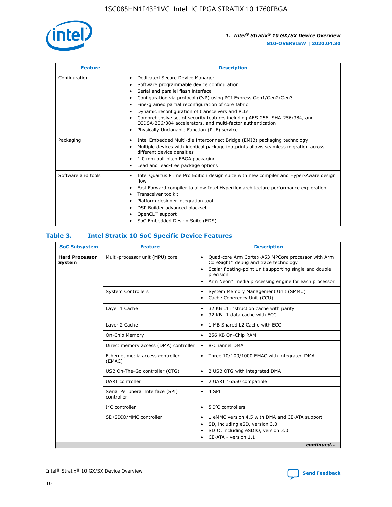

| <b>Feature</b>     | <b>Description</b>                                                                                                                                                                                                                                                                                                                                                                                                                                                                                                                                      |
|--------------------|---------------------------------------------------------------------------------------------------------------------------------------------------------------------------------------------------------------------------------------------------------------------------------------------------------------------------------------------------------------------------------------------------------------------------------------------------------------------------------------------------------------------------------------------------------|
| Configuration      | Dedicated Secure Device Manager<br>٠<br>Software programmable device configuration<br>٠<br>Serial and parallel flash interface<br>$\bullet$<br>Configuration via protocol (CvP) using PCI Express Gen1/Gen2/Gen3<br>٠<br>Fine-grained partial reconfiguration of core fabric<br>$\bullet$<br>Dynamic reconfiguration of transceivers and PLLs<br>$\bullet$<br>Comprehensive set of security features including AES-256, SHA-256/384, and<br>ECDSA-256/384 accelerators, and multi-factor authentication<br>Physically Unclonable Function (PUF) service |
| Packaging          | Intel Embedded Multi-die Interconnect Bridge (EMIB) packaging technology<br>$\bullet$<br>Multiple devices with identical package footprints allows seamless migration across<br>$\bullet$<br>different device densities<br>1.0 mm ball-pitch FBGA packaging<br>$\bullet$<br>Lead and lead-free package options                                                                                                                                                                                                                                          |
| Software and tools | Intel Quartus Prime Pro Edition design suite with new compiler and Hyper-Aware design<br>flow<br>Fast Forward compiler to allow Intel Hyperflex architecture performance exploration<br>$\bullet$<br>Transceiver toolkit<br>$\bullet$<br>Platform designer integration tool<br>$\bullet$<br>DSP Builder advanced blockset<br>OpenCL™ support<br>SoC Embedded Design Suite (EDS)                                                                                                                                                                         |

### **Table 3. Intel Stratix 10 SoC Specific Device Features**

| <b>Hard Processor</b><br>Multi-processor unit (MPU) core<br>Quad-core Arm Cortex-A53 MPCore processor with Arm<br>$\bullet$<br>CoreSight* debug and trace technology<br>System<br>Scalar floating-point unit supporting single and double<br>$\bullet$<br>precision<br>Arm Neon* media processing engine for each processor<br>$\bullet$<br><b>System Controllers</b><br>System Memory Management Unit (SMMU)<br>$\bullet$<br>Cache Coherency Unit (CCU)<br>$\bullet$<br>Layer 1 Cache<br>32 KB L1 instruction cache with parity<br>$\bullet$<br>32 KB L1 data cache with ECC<br>$\bullet$<br>Layer 2 Cache<br>1 MB Shared L2 Cache with ECC<br>$\bullet$<br>On-Chip Memory<br>256 KB On-Chip RAM<br>٠<br>Direct memory access (DMA) controller<br>8-Channel DMA<br>$\bullet$<br>Ethernet media access controller<br>Three 10/100/1000 EMAC with integrated DMA<br>$\bullet$<br>(EMAC)<br>USB On-The-Go controller (OTG)<br>2 USB OTG with integrated DMA<br>$\bullet$<br><b>UART</b> controller<br>2 UART 16550 compatible<br>$\bullet$<br>Serial Peripheral Interface (SPI)<br>4 SPI<br>$\bullet$<br>controller<br>$I2C$ controller<br>5 I <sup>2</sup> C controllers<br>$\bullet$<br>SD/SDIO/MMC controller<br>1 eMMC version 4.5 with DMA and CE-ATA support<br>$\bullet$<br>SD, including eSD, version 3.0<br>$\bullet$<br>SDIO, including eSDIO, version 3.0<br>$\bullet$<br>CE-ATA - version 1.1 | <b>SoC Subsystem</b> | <b>Feature</b> | <b>Description</b> |
|---------------------------------------------------------------------------------------------------------------------------------------------------------------------------------------------------------------------------------------------------------------------------------------------------------------------------------------------------------------------------------------------------------------------------------------------------------------------------------------------------------------------------------------------------------------------------------------------------------------------------------------------------------------------------------------------------------------------------------------------------------------------------------------------------------------------------------------------------------------------------------------------------------------------------------------------------------------------------------------------------------------------------------------------------------------------------------------------------------------------------------------------------------------------------------------------------------------------------------------------------------------------------------------------------------------------------------------------------------------------------------------------------------|----------------------|----------------|--------------------|
|                                                                                                                                                                                                                                                                                                                                                                                                                                                                                                                                                                                                                                                                                                                                                                                                                                                                                                                                                                                                                                                                                                                                                                                                                                                                                                                                                                                                         |                      |                |                    |
|                                                                                                                                                                                                                                                                                                                                                                                                                                                                                                                                                                                                                                                                                                                                                                                                                                                                                                                                                                                                                                                                                                                                                                                                                                                                                                                                                                                                         |                      |                |                    |
|                                                                                                                                                                                                                                                                                                                                                                                                                                                                                                                                                                                                                                                                                                                                                                                                                                                                                                                                                                                                                                                                                                                                                                                                                                                                                                                                                                                                         |                      |                |                    |
|                                                                                                                                                                                                                                                                                                                                                                                                                                                                                                                                                                                                                                                                                                                                                                                                                                                                                                                                                                                                                                                                                                                                                                                                                                                                                                                                                                                                         |                      |                |                    |
|                                                                                                                                                                                                                                                                                                                                                                                                                                                                                                                                                                                                                                                                                                                                                                                                                                                                                                                                                                                                                                                                                                                                                                                                                                                                                                                                                                                                         |                      |                |                    |
|                                                                                                                                                                                                                                                                                                                                                                                                                                                                                                                                                                                                                                                                                                                                                                                                                                                                                                                                                                                                                                                                                                                                                                                                                                                                                                                                                                                                         |                      |                |                    |
|                                                                                                                                                                                                                                                                                                                                                                                                                                                                                                                                                                                                                                                                                                                                                                                                                                                                                                                                                                                                                                                                                                                                                                                                                                                                                                                                                                                                         |                      |                |                    |
|                                                                                                                                                                                                                                                                                                                                                                                                                                                                                                                                                                                                                                                                                                                                                                                                                                                                                                                                                                                                                                                                                                                                                                                                                                                                                                                                                                                                         |                      |                |                    |
|                                                                                                                                                                                                                                                                                                                                                                                                                                                                                                                                                                                                                                                                                                                                                                                                                                                                                                                                                                                                                                                                                                                                                                                                                                                                                                                                                                                                         |                      |                |                    |
|                                                                                                                                                                                                                                                                                                                                                                                                                                                                                                                                                                                                                                                                                                                                                                                                                                                                                                                                                                                                                                                                                                                                                                                                                                                                                                                                                                                                         |                      |                |                    |
|                                                                                                                                                                                                                                                                                                                                                                                                                                                                                                                                                                                                                                                                                                                                                                                                                                                                                                                                                                                                                                                                                                                                                                                                                                                                                                                                                                                                         |                      |                |                    |
| continued                                                                                                                                                                                                                                                                                                                                                                                                                                                                                                                                                                                                                                                                                                                                                                                                                                                                                                                                                                                                                                                                                                                                                                                                                                                                                                                                                                                               |                      |                |                    |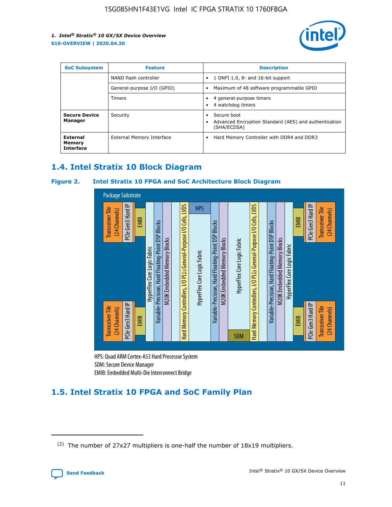

| <b>SoC Subsystem</b><br><b>Feature</b> |                            | <b>Description</b>                                                                               |
|----------------------------------------|----------------------------|--------------------------------------------------------------------------------------------------|
|                                        | NAND flash controller      | 1 ONFI 1.0, 8- and 16-bit support<br>٠                                                           |
|                                        | General-purpose I/O (GPIO) | Maximum of 48 software programmable GPIO<br>٠                                                    |
|                                        | Timers                     | 4 general-purpose timers<br>4 watchdog timers                                                    |
| <b>Secure Device</b><br>Manager        | Security                   | Secure boot<br>$\bullet$<br>Advanced Encryption Standard (AES) and authentication<br>(SHA/ECDSA) |
| External<br>Memory<br><b>Interface</b> | External Memory Interface  | Hard Memory Controller with DDR4 and DDR3<br>$\bullet$                                           |

### **1.4. Intel Stratix 10 Block Diagram**

### **Figure 2. Intel Stratix 10 FPGA and SoC Architecture Block Diagram**



HPS: Quad ARM Cortex-A53 Hard Processor System SDM: Secure Device Manager

## **1.5. Intel Stratix 10 FPGA and SoC Family Plan**

<sup>(2)</sup> The number of 27x27 multipliers is one-half the number of 18x19 multipliers.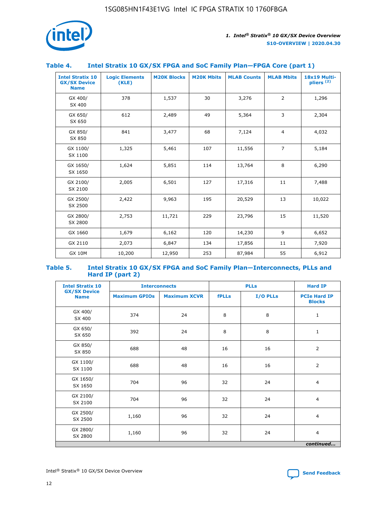

### **Table 4. Intel Stratix 10 GX/SX FPGA and SoC Family Plan—FPGA Core (part 1)**

| <b>Intel Stratix 10</b><br><b>GX/SX Device</b><br><b>Name</b> | <b>Logic Elements</b><br>(KLE) | <b>M20K Blocks</b> | <b>M20K Mbits</b> | <b>MLAB Counts</b> | <b>MLAB Mbits</b> | <b>18x19 Multi-</b><br>pliers <sup>(2)</sup> |
|---------------------------------------------------------------|--------------------------------|--------------------|-------------------|--------------------|-------------------|----------------------------------------------|
| GX 400/<br>SX 400                                             | 378                            | 1,537              | 30                | 3,276              | 2                 | 1,296                                        |
| GX 650/<br>SX 650                                             | 612                            | 2,489              | 49                | 5,364              | 3                 | 2,304                                        |
| GX 850/<br>SX 850                                             | 841                            | 3,477              | 68                | 7,124              | $\overline{4}$    | 4,032                                        |
| GX 1100/<br>SX 1100                                           | 1,325                          | 5,461              | 107               | 11,556             | $\overline{7}$    | 5,184                                        |
| GX 1650/<br>SX 1650                                           | 1,624                          | 5,851              | 114               | 13,764             | 8                 | 6,290                                        |
| GX 2100/<br>SX 2100                                           | 2,005                          | 6,501              | 127               | 17,316             | 11                | 7,488                                        |
| GX 2500/<br>SX 2500                                           | 2,422                          | 9,963              | 195               | 20,529             | 13                | 10,022                                       |
| GX 2800/<br>SX 2800                                           | 2,753                          | 11,721             | 229               | 23,796             | 15                | 11,520                                       |
| GX 1660                                                       | 1,679                          | 6,162              | 120               | 14,230             | 9                 | 6,652                                        |
| GX 2110                                                       | 2,073                          | 6,847              | 134               | 17,856             | 11                | 7,920                                        |
| <b>GX 10M</b>                                                 | 10,200                         | 12,950             | 253               | 87,984             | 55                | 6,912                                        |

#### **Table 5. Intel Stratix 10 GX/SX FPGA and SoC Family Plan—Interconnects, PLLs and Hard IP (part 2)**

| <b>Intel Stratix 10</b>            | <b>Interconnects</b> |                     | <b>PLLs</b>  |          | <b>Hard IP</b>                       |  |
|------------------------------------|----------------------|---------------------|--------------|----------|--------------------------------------|--|
| <b>GX/SX Device</b><br><b>Name</b> | <b>Maximum GPIOs</b> | <b>Maximum XCVR</b> | <b>fPLLs</b> | I/O PLLs | <b>PCIe Hard IP</b><br><b>Blocks</b> |  |
| GX 400/<br>SX 400                  | 374                  | 24                  | 8            | 8        | $\mathbf{1}$                         |  |
| GX 650/<br>SX 650                  | 392                  | 24                  | 8            | 8        | $\mathbf{1}$                         |  |
| GX 850/<br>SX 850                  | 688                  | 48                  | 16           | 16       | 2                                    |  |
| GX 1100/<br>SX 1100                | 688                  | 48                  | 16           | 16       | 2                                    |  |
| GX 1650/<br>SX 1650                | 704                  | 96                  | 32           | 24       | $\overline{4}$                       |  |
| GX 2100/<br>SX 2100                | 704                  | 96                  | 32           | 24       | $\overline{4}$                       |  |
| GX 2500/<br>SX 2500                | 1,160                | 96                  | 32           | 24       | $\overline{4}$                       |  |
| GX 2800/<br>SX 2800                | 1,160                | 96                  | 32           | 24       | $\overline{4}$                       |  |
| continued                          |                      |                     |              |          |                                      |  |

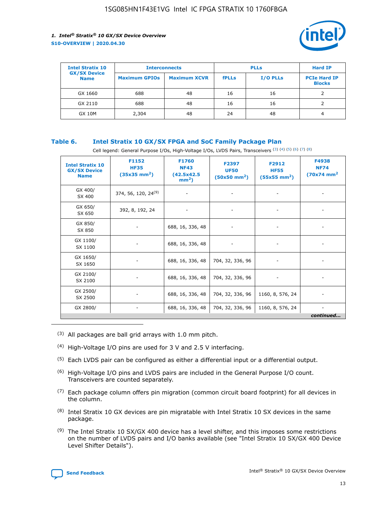

| <b>Intel Stratix 10</b>            | <b>Interconnects</b> |                     | <b>PLLs</b>  |                 | <b>Hard IP</b>                       |
|------------------------------------|----------------------|---------------------|--------------|-----------------|--------------------------------------|
| <b>GX/SX Device</b><br><b>Name</b> | <b>Maximum GPIOs</b> | <b>Maximum XCVR</b> | <b>fPLLs</b> | <b>I/O PLLs</b> | <b>PCIe Hard IP</b><br><b>Blocks</b> |
| GX 1660                            | 688                  | 48                  | 16           | 16              |                                      |
| GX 2110                            | 688                  | 48                  | 16           | 16              |                                      |
| <b>GX 10M</b>                      | 2,304                | 48                  | 24           | 48              | 4                                    |

### **Table 6. Intel Stratix 10 GX/SX FPGA and SoC Family Package Plan**

Cell legend: General Purpose I/Os, High-Voltage I/Os, LVDS Pairs, Transceivers (3) (4) (5) (6) (7) (8)

| <b>Intel Stratix 10</b><br><b>GX/SX Device</b><br><b>Name</b> | F1152<br><b>HF35</b><br>$(35x35 \text{ mm}^2)$ | <b>F1760</b><br><b>NF43</b><br>(42.5x42.5<br>$mm2$ ) | F2397<br><b>UF50</b><br>$(50x50 \text{ mm}^2)$ | F2912<br><b>HF55</b><br>$(55x55 \text{ mm}^2)$ | F4938<br><b>NF74</b><br>$(70x74)$ mm <sup>2</sup> |
|---------------------------------------------------------------|------------------------------------------------|------------------------------------------------------|------------------------------------------------|------------------------------------------------|---------------------------------------------------|
| GX 400/<br>SX 400                                             | 374, 56, 120, 24 <sup>(9)</sup>                | $\overline{\phantom{a}}$                             | $\overline{\phantom{a}}$                       |                                                |                                                   |
| GX 650/<br>SX 650                                             | 392, 8, 192, 24                                | ٠                                                    | $\overline{\phantom{a}}$                       |                                                |                                                   |
| GX 850/<br>SX 850                                             |                                                | 688, 16, 336, 48                                     |                                                |                                                |                                                   |
| GX 1100/<br>SX 1100                                           |                                                | 688, 16, 336, 48                                     |                                                |                                                |                                                   |
| GX 1650/<br>SX 1650                                           |                                                | 688, 16, 336, 48                                     | 704, 32, 336, 96                               |                                                |                                                   |
| GX 2100/<br>SX 2100                                           |                                                | 688, 16, 336, 48                                     | 704, 32, 336, 96                               | -                                              | ۰                                                 |
| GX 2500/<br>SX 2500                                           |                                                | 688, 16, 336, 48                                     | 704, 32, 336, 96                               | 1160, 8, 576, 24                               |                                                   |
| GX 2800/                                                      | $\overline{\phantom{a}}$                       | 688, 16, 336, 48                                     | 704, 32, 336, 96                               | 1160, 8, 576, 24                               | ٠<br>continued                                    |

- (3) All packages are ball grid arrays with 1.0 mm pitch.
- (4) High-Voltage I/O pins are used for 3 V and 2.5 V interfacing.
- $(5)$  Each LVDS pair can be configured as either a differential input or a differential output.
- (6) High-Voltage I/O pins and LVDS pairs are included in the General Purpose I/O count. Transceivers are counted separately.
- $(7)$  Each package column offers pin migration (common circuit board footprint) for all devices in the column.
- $(8)$  Intel Stratix 10 GX devices are pin migratable with Intel Stratix 10 SX devices in the same package.
- $(9)$  The Intel Stratix 10 SX/GX 400 device has a level shifter, and this imposes some restrictions on the number of LVDS pairs and I/O banks available (see "Intel Stratix 10 SX/GX 400 Device Level Shifter Details").

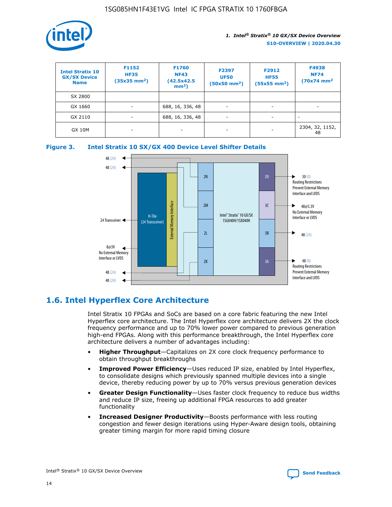

| <b>Intel Stratix 10</b><br><b>GX/SX Device</b><br><b>Name</b> | F1152<br><b>HF35</b><br>$(35x35)$ mm <sup>2</sup> ) | <b>F1760</b><br><b>NF43</b><br>(42.5x42.5<br>$mm2$ ) | F2397<br><b>UF50</b><br>$(50x50 \text{ mm}^2)$ | F2912<br><b>HF55</b><br>$(55x55$ mm <sup>2</sup> ) | F4938<br><b>NF74</b><br>$(70x74)$ mm <sup>2</sup> |
|---------------------------------------------------------------|-----------------------------------------------------|------------------------------------------------------|------------------------------------------------|----------------------------------------------------|---------------------------------------------------|
| SX 2800                                                       |                                                     |                                                      |                                                |                                                    |                                                   |
| GX 1660                                                       | ٠                                                   | 688, 16, 336, 48                                     | ٠                                              |                                                    |                                                   |
| GX 2110                                                       | -                                                   | 688, 16, 336, 48                                     | $\overline{\phantom{a}}$                       |                                                    |                                                   |
| <b>GX 10M</b>                                                 | ۰                                                   |                                                      |                                                |                                                    | 2304, 32, 1152,<br>48                             |





### **1.6. Intel Hyperflex Core Architecture**

Intel Stratix 10 FPGAs and SoCs are based on a core fabric featuring the new Intel Hyperflex core architecture. The Intel Hyperflex core architecture delivers 2X the clock frequency performance and up to 70% lower power compared to previous generation high-end FPGAs. Along with this performance breakthrough, the Intel Hyperflex core architecture delivers a number of advantages including:

- **Higher Throughput**—Capitalizes on 2X core clock frequency performance to obtain throughput breakthroughs
- **Improved Power Efficiency**—Uses reduced IP size, enabled by Intel Hyperflex, to consolidate designs which previously spanned multiple devices into a single device, thereby reducing power by up to 70% versus previous generation devices
- **Greater Design Functionality**—Uses faster clock frequency to reduce bus widths and reduce IP size, freeing up additional FPGA resources to add greater functionality
- **Increased Designer Productivity**—Boosts performance with less routing congestion and fewer design iterations using Hyper-Aware design tools, obtaining greater timing margin for more rapid timing closure

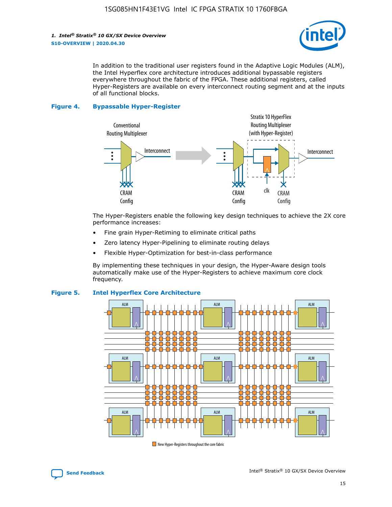

In addition to the traditional user registers found in the Adaptive Logic Modules (ALM), the Intel Hyperflex core architecture introduces additional bypassable registers everywhere throughout the fabric of the FPGA. These additional registers, called Hyper-Registers are available on every interconnect routing segment and at the inputs of all functional blocks.

#### **Figure 4. Bypassable Hyper-Register**



The Hyper-Registers enable the following key design techniques to achieve the 2X core performance increases:

- Fine grain Hyper-Retiming to eliminate critical paths
- Zero latency Hyper-Pipelining to eliminate routing delays
- Flexible Hyper-Optimization for best-in-class performance

By implementing these techniques in your design, the Hyper-Aware design tools automatically make use of the Hyper-Registers to achieve maximum core clock frequency.



### **Figure 5. Intel Hyperflex Core Architecture**

New Hyper-Registers throughout the core fabric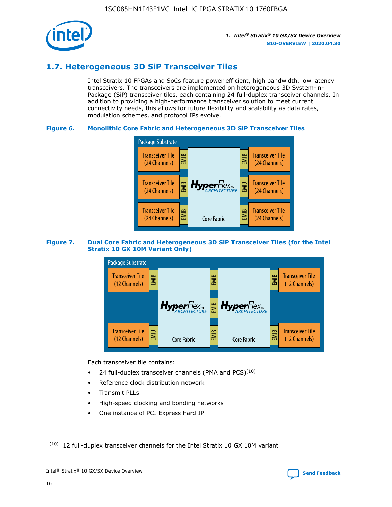

### **1.7. Heterogeneous 3D SiP Transceiver Tiles**

Intel Stratix 10 FPGAs and SoCs feature power efficient, high bandwidth, low latency transceivers. The transceivers are implemented on heterogeneous 3D System-in-Package (SiP) transceiver tiles, each containing 24 full-duplex transceiver channels. In addition to providing a high-performance transceiver solution to meet current connectivity needs, this allows for future flexibility and scalability as data rates, modulation schemes, and protocol IPs evolve.

### **Figure 6. Monolithic Core Fabric and Heterogeneous 3D SiP Transceiver Tiles**



### **Figure 7. Dual Core Fabric and Heterogeneous 3D SiP Transceiver Tiles (for the Intel Stratix 10 GX 10M Variant Only)**



Each transceiver tile contains:

- 24 full-duplex transceiver channels (PMA and PCS) $(10)$
- Reference clock distribution network
- Transmit PLLs
- High-speed clocking and bonding networks
- One instance of PCI Express hard IP

 $(10)$  12 full-duplex transceiver channels for the Intel Stratix 10 GX 10M variant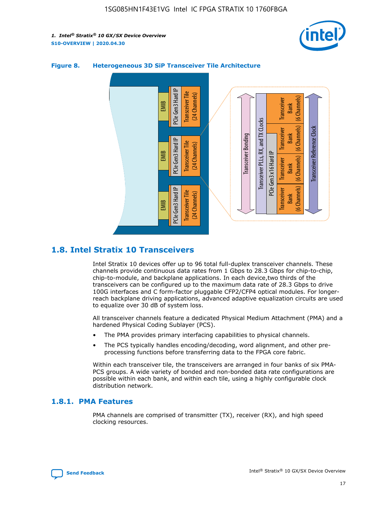



### **Figure 8. Heterogeneous 3D SiP Transceiver Tile Architecture**

### **1.8. Intel Stratix 10 Transceivers**

Intel Stratix 10 devices offer up to 96 total full-duplex transceiver channels. These channels provide continuous data rates from 1 Gbps to 28.3 Gbps for chip-to-chip, chip-to-module, and backplane applications. In each device,two thirds of the transceivers can be configured up to the maximum data rate of 28.3 Gbps to drive 100G interfaces and C form-factor pluggable CFP2/CFP4 optical modules. For longerreach backplane driving applications, advanced adaptive equalization circuits are used to equalize over 30 dB of system loss.

All transceiver channels feature a dedicated Physical Medium Attachment (PMA) and a hardened Physical Coding Sublayer (PCS).

- The PMA provides primary interfacing capabilities to physical channels.
- The PCS typically handles encoding/decoding, word alignment, and other preprocessing functions before transferring data to the FPGA core fabric.

Within each transceiver tile, the transceivers are arranged in four banks of six PMA-PCS groups. A wide variety of bonded and non-bonded data rate configurations are possible within each bank, and within each tile, using a highly configurable clock distribution network.

### **1.8.1. PMA Features**

PMA channels are comprised of transmitter (TX), receiver (RX), and high speed clocking resources.

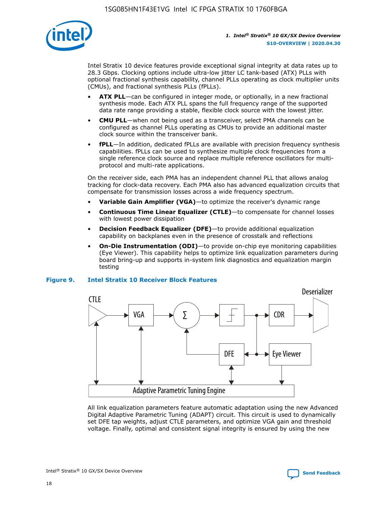

Intel Stratix 10 device features provide exceptional signal integrity at data rates up to 28.3 Gbps. Clocking options include ultra-low jitter LC tank-based (ATX) PLLs with optional fractional synthesis capability, channel PLLs operating as clock multiplier units (CMUs), and fractional synthesis PLLs (fPLLs).

- **ATX PLL**—can be configured in integer mode, or optionally, in a new fractional synthesis mode. Each ATX PLL spans the full frequency range of the supported data rate range providing a stable, flexible clock source with the lowest jitter.
- **CMU PLL**—when not being used as a transceiver, select PMA channels can be configured as channel PLLs operating as CMUs to provide an additional master clock source within the transceiver bank.
- **fPLL**—In addition, dedicated fPLLs are available with precision frequency synthesis capabilities. fPLLs can be used to synthesize multiple clock frequencies from a single reference clock source and replace multiple reference oscillators for multiprotocol and multi-rate applications.

On the receiver side, each PMA has an independent channel PLL that allows analog tracking for clock-data recovery. Each PMA also has advanced equalization circuits that compensate for transmission losses across a wide frequency spectrum.

- **Variable Gain Amplifier (VGA)**—to optimize the receiver's dynamic range
- **Continuous Time Linear Equalizer (CTLE)**—to compensate for channel losses with lowest power dissipation
- **Decision Feedback Equalizer (DFE)**—to provide additional equalization capability on backplanes even in the presence of crosstalk and reflections
- **On-Die Instrumentation (ODI)**—to provide on-chip eye monitoring capabilities (Eye Viewer). This capability helps to optimize link equalization parameters during board bring-up and supports in-system link diagnostics and equalization margin testing

#### **Figure 9. Intel Stratix 10 Receiver Block Features**



All link equalization parameters feature automatic adaptation using the new Advanced Digital Adaptive Parametric Tuning (ADAPT) circuit. This circuit is used to dynamically set DFE tap weights, adjust CTLE parameters, and optimize VGA gain and threshold voltage. Finally, optimal and consistent signal integrity is ensured by using the new



Intel<sup>®</sup> Stratix<sup>®</sup> 10 GX/SX Device Overview **[Send Feedback](mailto:FPGAtechdocfeedback@intel.com?subject=Feedback%20on%20Intel%20Stratix%2010%20GX/SX%20Device%20Overview%20(S10-OVERVIEW%202020.04.30)&body=We%20appreciate%20your%20feedback.%20In%20your%20comments,%20also%20specify%20the%20page%20number%20or%20paragraph.%20Thank%20you.)** Send Feedback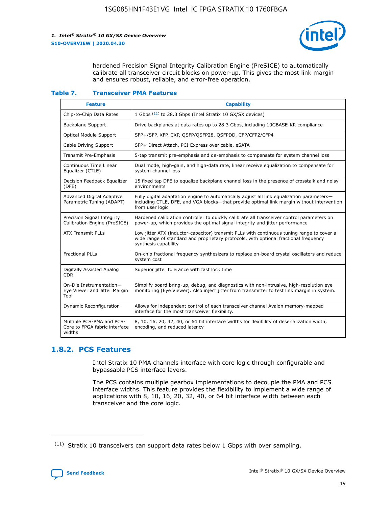

hardened Precision Signal Integrity Calibration Engine (PreSICE) to automatically calibrate all transceiver circuit blocks on power-up. This gives the most link margin and ensures robust, reliable, and error-free operation.

#### **Table 7. Transceiver PMA Features**

| <b>Feature</b>                                                       | <b>Capability</b>                                                                                                                                                                                         |
|----------------------------------------------------------------------|-----------------------------------------------------------------------------------------------------------------------------------------------------------------------------------------------------------|
| Chip-to-Chip Data Rates                                              | 1 Gbps (11) to 28.3 Gbps (Intel Stratix 10 GX/SX devices)                                                                                                                                                 |
| <b>Backplane Support</b>                                             | Drive backplanes at data rates up to 28.3 Gbps, including 10GBASE-KR compliance                                                                                                                           |
| Optical Module Support                                               | SFP+/SFP, XFP, CXP, QSFP/QSFP28, QSFPDD, CFP/CFP2/CFP4                                                                                                                                                    |
| Cable Driving Support                                                | SFP+ Direct Attach, PCI Express over cable, eSATA                                                                                                                                                         |
| <b>Transmit Pre-Emphasis</b>                                         | 5-tap transmit pre-emphasis and de-emphasis to compensate for system channel loss                                                                                                                         |
| Continuous Time Linear<br>Equalizer (CTLE)                           | Dual mode, high-gain, and high-data rate, linear receive equalization to compensate for<br>system channel loss                                                                                            |
| Decision Feedback Equalizer<br>(DFE)                                 | 15 fixed tap DFE to equalize backplane channel loss in the presence of crosstalk and noisy<br>environments                                                                                                |
| Advanced Digital Adaptive<br>Parametric Tuning (ADAPT)               | Fully digital adaptation engine to automatically adjust all link equalization parameters-<br>including CTLE, DFE, and VGA blocks-that provide optimal link margin without intervention<br>from user logic |
| Precision Signal Integrity<br>Calibration Engine (PreSICE)           | Hardened calibration controller to quickly calibrate all transceiver control parameters on<br>power-up, which provides the optimal signal integrity and jitter performance                                |
| <b>ATX Transmit PLLs</b>                                             | Low jitter ATX (inductor-capacitor) transmit PLLs with continuous tuning range to cover a<br>wide range of standard and proprietary protocols, with optional fractional frequency<br>synthesis capability |
| <b>Fractional PLLs</b>                                               | On-chip fractional frequency synthesizers to replace on-board crystal oscillators and reduce<br>system cost                                                                                               |
| Digitally Assisted Analog<br>CDR.                                    | Superior jitter tolerance with fast lock time                                                                                                                                                             |
| On-Die Instrumentation-<br>Eye Viewer and Jitter Margin<br>Tool      | Simplify board bring-up, debug, and diagnostics with non-intrusive, high-resolution eye<br>monitoring (Eye Viewer). Also inject jitter from transmitter to test link margin in system.                    |
| Dynamic Reconfiguration                                              | Allows for independent control of each transceiver channel Avalon memory-mapped<br>interface for the most transceiver flexibility.                                                                        |
| Multiple PCS-PMA and PCS-<br>Core to FPGA fabric interface<br>widths | 8, 10, 16, 20, 32, 40, or 64 bit interface widths for flexibility of deserialization width,<br>encoding, and reduced latency                                                                              |

### **1.8.2. PCS Features**

Intel Stratix 10 PMA channels interface with core logic through configurable and bypassable PCS interface layers.

The PCS contains multiple gearbox implementations to decouple the PMA and PCS interface widths. This feature provides the flexibility to implement a wide range of applications with 8, 10, 16, 20, 32, 40, or 64 bit interface width between each transceiver and the core logic.

<sup>(11)</sup> Stratix 10 transceivers can support data rates below 1 Gbps with over sampling.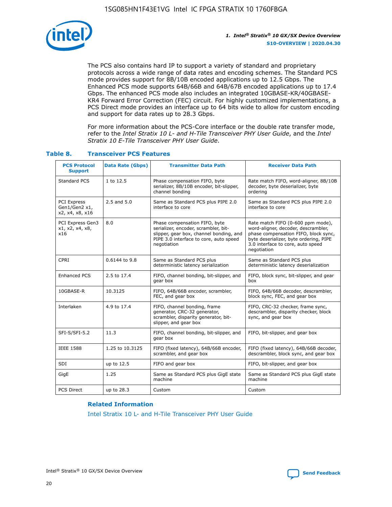

The PCS also contains hard IP to support a variety of standard and proprietary protocols across a wide range of data rates and encoding schemes. The Standard PCS mode provides support for 8B/10B encoded applications up to 12.5 Gbps. The Enhanced PCS mode supports 64B/66B and 64B/67B encoded applications up to 17.4 Gbps. The enhanced PCS mode also includes an integrated 10GBASE-KR/40GBASE-KR4 Forward Error Correction (FEC) circuit. For highly customized implementations, a PCS Direct mode provides an interface up to 64 bits wide to allow for custom encoding and support for data rates up to 28.3 Gbps.

For more information about the PCS-Core interface or the double rate transfer mode, refer to the *Intel Stratix 10 L- and H-Tile Transceiver PHY User Guide*, and the *Intel Stratix 10 E-Tile Transceiver PHY User Guide*.

| <b>PCS Protocol</b><br><b>Support</b>           | <b>Data Rate (Gbps)</b> | <b>Transmitter Data Path</b>                                                                                                                                              | <b>Receiver Data Path</b>                                                                                                                                                                                      |
|-------------------------------------------------|-------------------------|---------------------------------------------------------------------------------------------------------------------------------------------------------------------------|----------------------------------------------------------------------------------------------------------------------------------------------------------------------------------------------------------------|
| Standard PCS                                    | 1 to 12.5               | Phase compensation FIFO, byte<br>serializer, 8B/10B encoder, bit-slipper,<br>channel bonding                                                                              | Rate match FIFO, word-aligner, 8B/10B<br>decoder, byte deserializer, byte<br>ordering                                                                                                                          |
| PCI Express<br>Gen1/Gen2 x1,<br>x2, x4, x8, x16 | $2.5$ and $5.0$         | Same as Standard PCS plus PIPE 2.0<br>interface to core                                                                                                                   | Same as Standard PCS plus PIPE 2.0<br>interface to core                                                                                                                                                        |
| PCI Express Gen3<br>x1, x2, x4, x8,<br>x16      | 8.0                     | Phase compensation FIFO, byte<br>serializer, encoder, scrambler, bit-<br>slipper, gear box, channel bonding, and<br>PIPE 3.0 interface to core, auto speed<br>negotiation | Rate match FIFO (0-600 ppm mode),<br>word-aligner, decoder, descrambler,<br>phase compensation FIFO, block sync,<br>byte deserializer, byte ordering, PIPE<br>3.0 interface to core, auto speed<br>negotiation |
| CPRI                                            | 0.6144 to 9.8           | Same as Standard PCS plus<br>deterministic latency serialization                                                                                                          | Same as Standard PCS plus<br>deterministic latency deserialization                                                                                                                                             |
| <b>Enhanced PCS</b>                             | 2.5 to 17.4             | FIFO, channel bonding, bit-slipper, and<br>gear box                                                                                                                       | FIFO, block sync, bit-slipper, and gear<br>box                                                                                                                                                                 |
| 10GBASE-R                                       | 10.3125                 | FIFO, 64B/66B encoder, scrambler,<br>FEC, and gear box                                                                                                                    | FIFO, 64B/66B decoder, descrambler,<br>block sync, FEC, and gear box                                                                                                                                           |
| Interlaken                                      | 4.9 to 17.4             | FIFO, channel bonding, frame<br>generator, CRC-32 generator,<br>scrambler, disparity generator, bit-<br>slipper, and gear box                                             | FIFO, CRC-32 checker, frame sync,<br>descrambler, disparity checker, block<br>sync, and gear box                                                                                                               |
| SFI-S/SFI-5.2                                   | 11.3                    | FIFO, channel bonding, bit-slipper, and<br>gear box                                                                                                                       | FIFO, bit-slipper, and gear box                                                                                                                                                                                |
| <b>IEEE 1588</b>                                | 1.25 to 10.3125         | FIFO (fixed latency), 64B/66B encoder,<br>scrambler, and gear box                                                                                                         | FIFO (fixed latency), 64B/66B decoder,<br>descrambler, block sync, and gear box                                                                                                                                |
| SDI                                             | up to 12.5              | FIFO and gear box                                                                                                                                                         | FIFO, bit-slipper, and gear box                                                                                                                                                                                |
| GigE                                            | 1.25                    | Same as Standard PCS plus GigE state<br>machine                                                                                                                           | Same as Standard PCS plus GigE state<br>machine                                                                                                                                                                |
| <b>PCS Direct</b>                               | up to 28.3              | Custom                                                                                                                                                                    | Custom                                                                                                                                                                                                         |

### **Table 8. Transceiver PCS Features**

#### **Related Information**

[Intel Stratix 10 L- and H-Tile Transceiver PHY User Guide](https://www.altera.com/documentation/wry1479165198810.html)

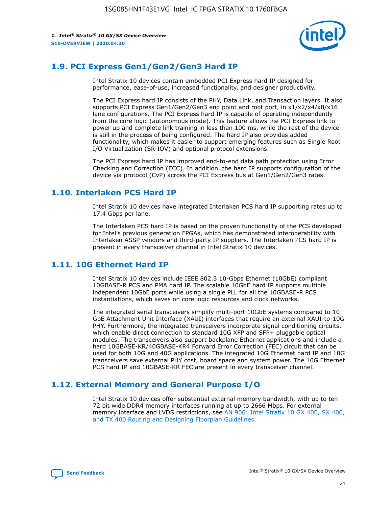

### **1.9. PCI Express Gen1/Gen2/Gen3 Hard IP**

Intel Stratix 10 devices contain embedded PCI Express hard IP designed for performance, ease-of-use, increased functionality, and designer productivity.

The PCI Express hard IP consists of the PHY, Data Link, and Transaction layers. It also supports PCI Express Gen1/Gen2/Gen3 end point and root port, in x1/x2/x4/x8/x16 lane configurations. The PCI Express hard IP is capable of operating independently from the core logic (autonomous mode). This feature allows the PCI Express link to power up and complete link training in less than 100 ms, while the rest of the device is still in the process of being configured. The hard IP also provides added functionality, which makes it easier to support emerging features such as Single Root I/O Virtualization (SR-IOV) and optional protocol extensions.

The PCI Express hard IP has improved end-to-end data path protection using Error Checking and Correction (ECC). In addition, the hard IP supports configuration of the device via protocol (CvP) across the PCI Express bus at Gen1/Gen2/Gen3 rates.

### **1.10. Interlaken PCS Hard IP**

Intel Stratix 10 devices have integrated Interlaken PCS hard IP supporting rates up to 17.4 Gbps per lane.

The Interlaken PCS hard IP is based on the proven functionality of the PCS developed for Intel's previous generation FPGAs, which has demonstrated interoperability with Interlaken ASSP vendors and third-party IP suppliers. The Interlaken PCS hard IP is present in every transceiver channel in Intel Stratix 10 devices.

### **1.11. 10G Ethernet Hard IP**

Intel Stratix 10 devices include IEEE 802.3 10-Gbps Ethernet (10GbE) compliant 10GBASE-R PCS and PMA hard IP. The scalable 10GbE hard IP supports multiple independent 10GbE ports while using a single PLL for all the 10GBASE-R PCS instantiations, which saves on core logic resources and clock networks.

The integrated serial transceivers simplify multi-port 10GbE systems compared to 10 GbE Attachment Unit Interface (XAUI) interfaces that require an external XAUI-to-10G PHY. Furthermore, the integrated transceivers incorporate signal conditioning circuits, which enable direct connection to standard 10G XFP and SFP+ pluggable optical modules. The transceivers also support backplane Ethernet applications and include a hard 10GBASE-KR/40GBASE-KR4 Forward Error Correction (FEC) circuit that can be used for both 10G and 40G applications. The integrated 10G Ethernet hard IP and 10G transceivers save external PHY cost, board space and system power. The 10G Ethernet PCS hard IP and 10GBASE-KR FEC are present in every transceiver channel.

### **1.12. External Memory and General Purpose I/O**

Intel Stratix 10 devices offer substantial external memory bandwidth, with up to ten 72 bit wide DDR4 memory interfaces running at up to 2666 Mbps. For external memory interface and LVDS restrictions, see [AN 906: Intel Stratix 10 GX 400, SX 400,](https://www.intel.com/content/www/us/en/programmable/documentation/sjf1574667190623.html#bft1574667627484) [and TX 400 Routing and Designing Floorplan Guidelines.](https://www.intel.com/content/www/us/en/programmable/documentation/sjf1574667190623.html#bft1574667627484)

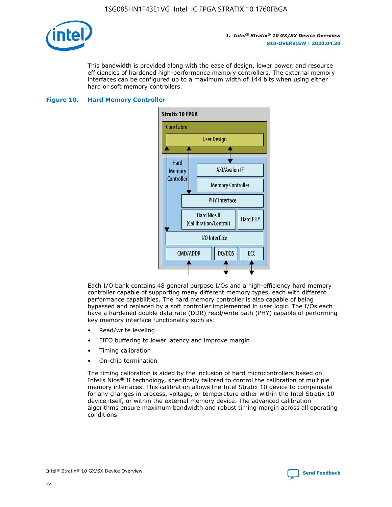

This bandwidth is provided along with the ease of design, lower power, and resource efficiencies of hardened high-performance memory controllers. The external memory interfaces can be configured up to a maximum width of 144 bits when using either hard or soft memory controllers.

#### **Figure 10. Hard Memory Controller**



Each I/O bank contains 48 general purpose I/Os and a high-efficiency hard memory controller capable of supporting many different memory types, each with different performance capabilities. The hard memory controller is also capable of being bypassed and replaced by a soft controller implemented in user logic. The I/Os each have a hardened double data rate (DDR) read/write path (PHY) capable of performing key memory interface functionality such as:

- Read/write leveling
- FIFO buffering to lower latency and improve margin
- Timing calibration
- On-chip termination

The timing calibration is aided by the inclusion of hard microcontrollers based on Intel's Nios® II technology, specifically tailored to control the calibration of multiple memory interfaces. This calibration allows the Intel Stratix 10 device to compensate for any changes in process, voltage, or temperature either within the Intel Stratix 10 device itself, or within the external memory device. The advanced calibration algorithms ensure maximum bandwidth and robust timing margin across all operating conditions.

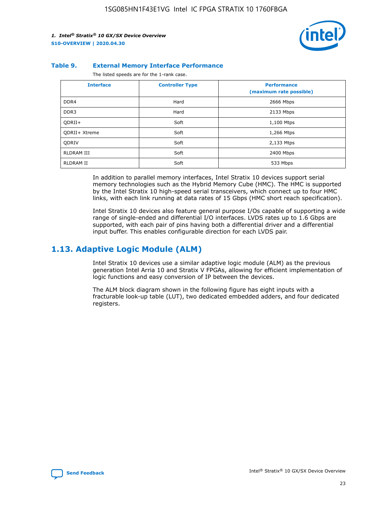

#### **Table 9. External Memory Interface Performance**

The listed speeds are for the 1-rank case.

| <b>Interface</b> | <b>Controller Type</b> | <b>Performance</b><br>(maximum rate possible) |
|------------------|------------------------|-----------------------------------------------|
| DDR4             | Hard                   | 2666 Mbps                                     |
| DDR <sub>3</sub> | Hard                   | 2133 Mbps                                     |
| QDRII+           | Soft                   | 1,100 Mtps                                    |
| QDRII+ Xtreme    | Soft                   | 1,266 Mtps                                    |
| <b>ODRIV</b>     | Soft                   | 2,133 Mtps                                    |
| RLDRAM III       | Soft                   | 2400 Mbps                                     |
| <b>RLDRAM II</b> | Soft                   | 533 Mbps                                      |

In addition to parallel memory interfaces, Intel Stratix 10 devices support serial memory technologies such as the Hybrid Memory Cube (HMC). The HMC is supported by the Intel Stratix 10 high-speed serial transceivers, which connect up to four HMC links, with each link running at data rates of 15 Gbps (HMC short reach specification).

Intel Stratix 10 devices also feature general purpose I/Os capable of supporting a wide range of single-ended and differential I/O interfaces. LVDS rates up to 1.6 Gbps are supported, with each pair of pins having both a differential driver and a differential input buffer. This enables configurable direction for each LVDS pair.

### **1.13. Adaptive Logic Module (ALM)**

Intel Stratix 10 devices use a similar adaptive logic module (ALM) as the previous generation Intel Arria 10 and Stratix V FPGAs, allowing for efficient implementation of logic functions and easy conversion of IP between the devices.

The ALM block diagram shown in the following figure has eight inputs with a fracturable look-up table (LUT), two dedicated embedded adders, and four dedicated registers.

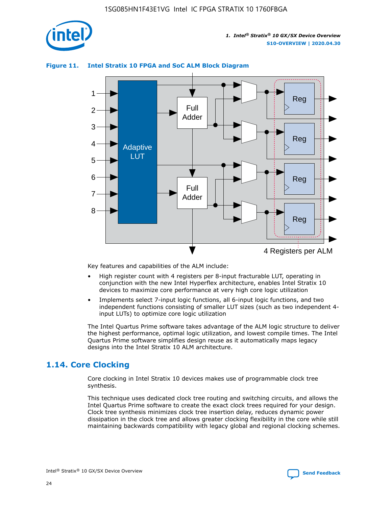

### **Figure 11. Intel Stratix 10 FPGA and SoC ALM Block Diagram**



Key features and capabilities of the ALM include:

- High register count with 4 registers per 8-input fracturable LUT, operating in conjunction with the new Intel Hyperflex architecture, enables Intel Stratix 10 devices to maximize core performance at very high core logic utilization
- Implements select 7-input logic functions, all 6-input logic functions, and two independent functions consisting of smaller LUT sizes (such as two independent 4 input LUTs) to optimize core logic utilization

The Intel Quartus Prime software takes advantage of the ALM logic structure to deliver the highest performance, optimal logic utilization, and lowest compile times. The Intel Quartus Prime software simplifies design reuse as it automatically maps legacy designs into the Intel Stratix 10 ALM architecture.

### **1.14. Core Clocking**

Core clocking in Intel Stratix 10 devices makes use of programmable clock tree synthesis.

This technique uses dedicated clock tree routing and switching circuits, and allows the Intel Quartus Prime software to create the exact clock trees required for your design. Clock tree synthesis minimizes clock tree insertion delay, reduces dynamic power dissipation in the clock tree and allows greater clocking flexibility in the core while still maintaining backwards compatibility with legacy global and regional clocking schemes.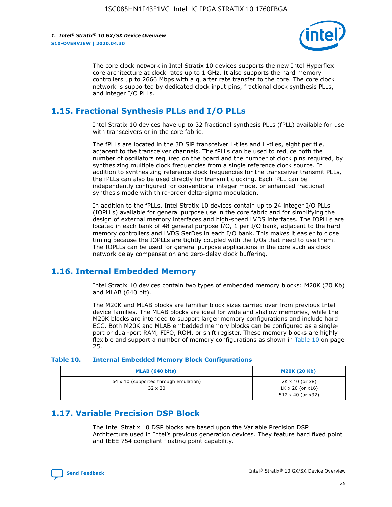

The core clock network in Intel Stratix 10 devices supports the new Intel Hyperflex core architecture at clock rates up to 1 GHz. It also supports the hard memory controllers up to 2666 Mbps with a quarter rate transfer to the core. The core clock network is supported by dedicated clock input pins, fractional clock synthesis PLLs, and integer I/O PLLs.

### **1.15. Fractional Synthesis PLLs and I/O PLLs**

Intel Stratix 10 devices have up to 32 fractional synthesis PLLs (fPLL) available for use with transceivers or in the core fabric.

The fPLLs are located in the 3D SiP transceiver L-tiles and H-tiles, eight per tile, adjacent to the transceiver channels. The fPLLs can be used to reduce both the number of oscillators required on the board and the number of clock pins required, by synthesizing multiple clock frequencies from a single reference clock source. In addition to synthesizing reference clock frequencies for the transceiver transmit PLLs, the fPLLs can also be used directly for transmit clocking. Each fPLL can be independently configured for conventional integer mode, or enhanced fractional synthesis mode with third-order delta-sigma modulation.

In addition to the fPLLs, Intel Stratix 10 devices contain up to 24 integer I/O PLLs (IOPLLs) available for general purpose use in the core fabric and for simplifying the design of external memory interfaces and high-speed LVDS interfaces. The IOPLLs are located in each bank of 48 general purpose I/O, 1 per I/O bank, adjacent to the hard memory controllers and LVDS SerDes in each I/O bank. This makes it easier to close timing because the IOPLLs are tightly coupled with the I/Os that need to use them. The IOPLLs can be used for general purpose applications in the core such as clock network delay compensation and zero-delay clock buffering.

### **1.16. Internal Embedded Memory**

Intel Stratix 10 devices contain two types of embedded memory blocks: M20K (20 Kb) and MLAB (640 bit).

The M20K and MLAB blocks are familiar block sizes carried over from previous Intel device families. The MLAB blocks are ideal for wide and shallow memories, while the M20K blocks are intended to support larger memory configurations and include hard ECC. Both M20K and MLAB embedded memory blocks can be configured as a singleport or dual-port RAM, FIFO, ROM, or shift register. These memory blocks are highly flexible and support a number of memory configurations as shown in Table 10 on page 25.

#### **Table 10. Internal Embedded Memory Block Configurations**

| MLAB (640 bits)                                                | <b>M20K (20 Kb)</b>                                                                    |
|----------------------------------------------------------------|----------------------------------------------------------------------------------------|
| $64 \times 10$ (supported through emulation)<br>$32 \times 20$ | $2K \times 10$ (or $x8$ )<br>$1K \times 20$ (or $x16$ )<br>$512 \times 40$ (or $x32$ ) |

### **1.17. Variable Precision DSP Block**

The Intel Stratix 10 DSP blocks are based upon the Variable Precision DSP Architecture used in Intel's previous generation devices. They feature hard fixed point and IEEE 754 compliant floating point capability.

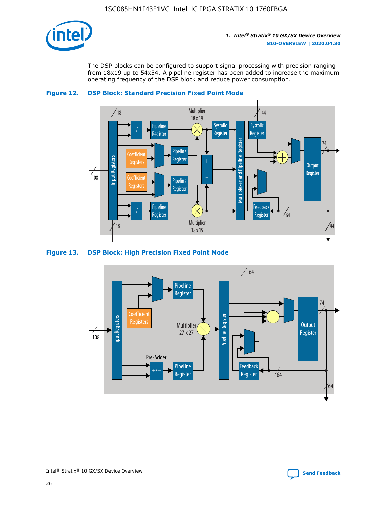

The DSP blocks can be configured to support signal processing with precision ranging from 18x19 up to 54x54. A pipeline register has been added to increase the maximum operating frequency of the DSP block and reduce power consumption.





#### **Figure 13. DSP Block: High Precision Fixed Point Mode**



Intel<sup>®</sup> Stratix<sup>®</sup> 10 GX/SX Device Overview **[Send Feedback](mailto:FPGAtechdocfeedback@intel.com?subject=Feedback%20on%20Intel%20Stratix%2010%20GX/SX%20Device%20Overview%20(S10-OVERVIEW%202020.04.30)&body=We%20appreciate%20your%20feedback.%20In%20your%20comments,%20also%20specify%20the%20page%20number%20or%20paragraph.%20Thank%20you.)** Send Feedback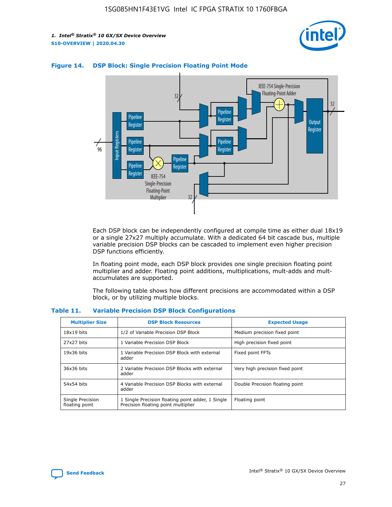



### **Figure 14. DSP Block: Single Precision Floating Point Mode**

Each DSP block can be independently configured at compile time as either dual 18x19 or a single 27x27 multiply accumulate. With a dedicated 64 bit cascade bus, multiple variable precision DSP blocks can be cascaded to implement even higher precision DSP functions efficiently.

In floating point mode, each DSP block provides one single precision floating point multiplier and adder. Floating point additions, multiplications, mult-adds and multaccumulates are supported.

The following table shows how different precisions are accommodated within a DSP block, or by utilizing multiple blocks.

| <b>Multiplier Size</b>             | <b>DSP Block Resources</b>                                                               | <b>Expected Usage</b>           |
|------------------------------------|------------------------------------------------------------------------------------------|---------------------------------|
| $18x19$ bits                       | 1/2 of Variable Precision DSP Block                                                      | Medium precision fixed point    |
| 27x27 bits                         | 1 Variable Precision DSP Block                                                           | High precision fixed point      |
| $19x36$ bits                       | 1 Variable Precision DSP Block with external<br>adder                                    | Fixed point FFTs                |
| 36x36 bits                         | 2 Variable Precision DSP Blocks with external<br>adder                                   | Very high precision fixed point |
| 54x54 bits                         | 4 Variable Precision DSP Blocks with external<br>adder                                   | Double Precision floating point |
| Single Precision<br>floating point | 1 Single Precision floating point adder, 1 Single<br>Precision floating point multiplier | Floating point                  |

#### **Table 11. Variable Precision DSP Block Configurations**

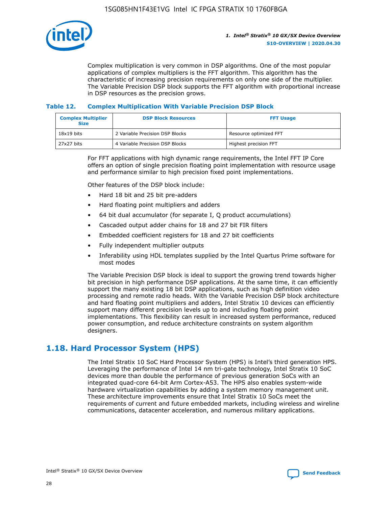

Complex multiplication is very common in DSP algorithms. One of the most popular applications of complex multipliers is the FFT algorithm. This algorithm has the characteristic of increasing precision requirements on only one side of the multiplier. The Variable Precision DSP block supports the FFT algorithm with proportional increase in DSP resources as the precision grows.

### **Table 12. Complex Multiplication With Variable Precision DSP Block**

| <b>Complex Multiplier</b><br><b>Size</b> | <b>DSP Block Resources</b>      | <b>FFT Usage</b>       |  |
|------------------------------------------|---------------------------------|------------------------|--|
| $18x19$ bits                             | 2 Variable Precision DSP Blocks | Resource optimized FFT |  |
| 27x27 bits                               | 4 Variable Precision DSP Blocks | Highest precision FFT  |  |

For FFT applications with high dynamic range requirements, the Intel FFT IP Core offers an option of single precision floating point implementation with resource usage and performance similar to high precision fixed point implementations.

Other features of the DSP block include:

- Hard 18 bit and 25 bit pre-adders
- Hard floating point multipliers and adders
- 64 bit dual accumulator (for separate I, Q product accumulations)
- Cascaded output adder chains for 18 and 27 bit FIR filters
- Embedded coefficient registers for 18 and 27 bit coefficients
- Fully independent multiplier outputs
- Inferability using HDL templates supplied by the Intel Quartus Prime software for most modes

The Variable Precision DSP block is ideal to support the growing trend towards higher bit precision in high performance DSP applications. At the same time, it can efficiently support the many existing 18 bit DSP applications, such as high definition video processing and remote radio heads. With the Variable Precision DSP block architecture and hard floating point multipliers and adders, Intel Stratix 10 devices can efficiently support many different precision levels up to and including floating point implementations. This flexibility can result in increased system performance, reduced power consumption, and reduce architecture constraints on system algorithm designers.

### **1.18. Hard Processor System (HPS)**

The Intel Stratix 10 SoC Hard Processor System (HPS) is Intel's third generation HPS. Leveraging the performance of Intel 14 nm tri-gate technology, Intel Stratix 10 SoC devices more than double the performance of previous generation SoCs with an integrated quad-core 64-bit Arm Cortex-A53. The HPS also enables system-wide hardware virtualization capabilities by adding a system memory management unit. These architecture improvements ensure that Intel Stratix 10 SoCs meet the requirements of current and future embedded markets, including wireless and wireline communications, datacenter acceleration, and numerous military applications.

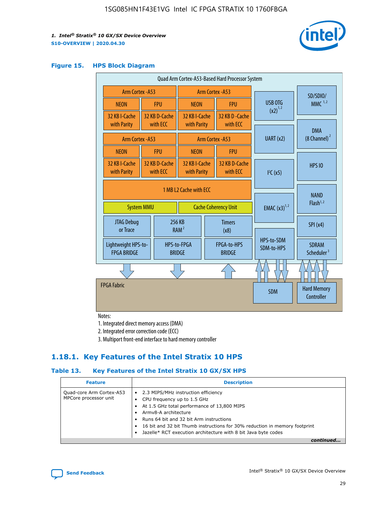

#### **Figure 15. HPS Block Diagram**

|  | Quad Arm Cortex-A53-Based Hard Processor System |                   |                           |                                                       |                       |                              |                                     |                                        |
|--|-------------------------------------------------|-------------------|---------------------------|-------------------------------------------------------|-----------------------|------------------------------|-------------------------------------|----------------------------------------|
|  | <b>Arm Cortex - A53</b>                         |                   |                           | Arm Cortex - A53                                      |                       |                              | SD/SDIO/                            |                                        |
|  | <b>NEON</b>                                     |                   | <b>FPU</b>                | <b>NEON</b>                                           |                       | <b>FPU</b>                   | <b>USB OTG</b>                      | $MMC$ <sup>1,2</sup>                   |
|  | 32 KB I-Cache                                   |                   | 32 KB D-Cache<br>with ECC | 32 KB I-Cache                                         |                       | 32 KB D - Cache<br>with ECC  | $(x2)^{1,2}$                        |                                        |
|  | with Parity                                     |                   |                           | with Parity                                           |                       |                              |                                     | <b>DMA</b>                             |
|  | <b>Arm Cortex - A53</b>                         |                   |                           |                                                       |                       | Arm Cortex - A53             | UART (x2)                           | $(8$ Channel) $^2$                     |
|  | <b>NEON</b>                                     |                   | <b>FPU</b>                | <b>NEON</b>                                           |                       | <b>FPU</b>                   |                                     |                                        |
|  | 32 KB I-Cache<br>with Parity                    |                   | 32 KB D-Cache<br>with ECC | 32 KB I-Cache<br>with Parity                          |                       | 32 KB D-Cache<br>with FCC    | I <sup>2</sup> C(x5)                | <b>HPS 10</b>                          |
|  |                                                 | <b>System MMU</b> |                           | 1 MB 12 Cache with FCC<br><b>Cache Coherency Unit</b> |                       | <b>EMAC</b> $(x3)^{1,2}$     | <b>NAND</b><br>Flash <sup>1,2</sup> |                                        |
|  | JTAG Debug<br>or Trace                          |                   |                           | 256 KB<br>RAM <sup>2</sup>                            | <b>Timers</b><br>(x8) |                              |                                     | SPI(x4)                                |
|  | Lightweight HPS-to-<br><b>FPGA BRIDGE</b>       |                   |                           | HPS-to-FPGA<br><b>BRIDGE</b>                          |                       | FPGA-to-HPS<br><b>BRIDGE</b> | HPS-to-SDM<br>SDM-to-HPS            | <b>SDRAM</b><br>Scheduler <sup>3</sup> |
|  |                                                 |                   |                           |                                                       |                       |                              |                                     |                                        |
|  | <b>FPGA Fabric</b>                              |                   |                           |                                                       |                       |                              | <b>SDM</b>                          | <b>Hard Memory</b><br>Controller       |

Notes:

1. Integrated direct memory access (DMA)

2. Integrated error correction code (ECC)

3. Multiport front-end interface to hard memory controller

### **1.18.1. Key Features of the Intel Stratix 10 HPS**

### **Table 13. Key Features of the Intel Stratix 10 GX/SX HPS**

| <b>Feature</b>                                    | <b>Description</b>                                                                                                                                                                                                                                                                                                                     |
|---------------------------------------------------|----------------------------------------------------------------------------------------------------------------------------------------------------------------------------------------------------------------------------------------------------------------------------------------------------------------------------------------|
| Quad-core Arm Cortex-A53<br>MPCore processor unit | • 2.3 MIPS/MHz instruction efficiency<br>CPU frequency up to 1.5 GHz<br>At 1.5 GHz total performance of 13,800 MIPS<br>Army8-A architecture<br>Runs 64 bit and 32 bit Arm instructions<br>16 bit and 32 bit Thumb instructions for 30% reduction in memory footprint<br>Jazelle* RCT execution architecture with 8 bit Java byte codes |
|                                                   |                                                                                                                                                                                                                                                                                                                                        |

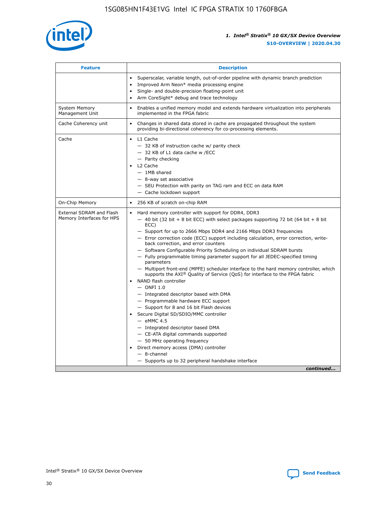

| <b>Feature</b>                                        | <b>Description</b>                                                                                                                                                                                                                                                                                                                                                                                                                                                                                                                                                                                                                                                                                                                                                                                                                                                                                                                                                                                                                                                                                                                                                                                               |  |
|-------------------------------------------------------|------------------------------------------------------------------------------------------------------------------------------------------------------------------------------------------------------------------------------------------------------------------------------------------------------------------------------------------------------------------------------------------------------------------------------------------------------------------------------------------------------------------------------------------------------------------------------------------------------------------------------------------------------------------------------------------------------------------------------------------------------------------------------------------------------------------------------------------------------------------------------------------------------------------------------------------------------------------------------------------------------------------------------------------------------------------------------------------------------------------------------------------------------------------------------------------------------------------|--|
|                                                       | Superscalar, variable length, out-of-order pipeline with dynamic branch prediction<br>Improved Arm Neon* media processing engine<br>Single- and double-precision floating-point unit<br>Arm CoreSight* debug and trace technology<br>٠                                                                                                                                                                                                                                                                                                                                                                                                                                                                                                                                                                                                                                                                                                                                                                                                                                                                                                                                                                           |  |
| <b>System Memory</b><br>Management Unit               | Enables a unified memory model and extends hardware virtualization into peripherals<br>implemented in the FPGA fabric                                                                                                                                                                                                                                                                                                                                                                                                                                                                                                                                                                                                                                                                                                                                                                                                                                                                                                                                                                                                                                                                                            |  |
| Cache Coherency unit                                  | Changes in shared data stored in cache are propagated throughout the system<br>$\bullet$<br>providing bi-directional coherency for co-processing elements.                                                                                                                                                                                                                                                                                                                                                                                                                                                                                                                                                                                                                                                                                                                                                                                                                                                                                                                                                                                                                                                       |  |
| Cache                                                 | L1 Cache<br>$\bullet$<br>- 32 KB of instruction cache w/ parity check<br>- 32 KB of L1 data cache w /ECC<br>- Parity checking<br>L <sub>2</sub> Cache<br>$-$ 1MB shared<br>$-$ 8-way set associative<br>- SEU Protection with parity on TAG ram and ECC on data RAM<br>- Cache lockdown support                                                                                                                                                                                                                                                                                                                                                                                                                                                                                                                                                                                                                                                                                                                                                                                                                                                                                                                  |  |
| On-Chip Memory                                        | 256 KB of scratch on-chip RAM                                                                                                                                                                                                                                                                                                                                                                                                                                                                                                                                                                                                                                                                                                                                                                                                                                                                                                                                                                                                                                                                                                                                                                                    |  |
| External SDRAM and Flash<br>Memory Interfaces for HPS | Hard memory controller with support for DDR4, DDR3<br>$\bullet$<br>$-$ 40 bit (32 bit + 8 bit ECC) with select packages supporting 72 bit (64 bit + 8 bit<br>ECC)<br>- Support for up to 2666 Mbps DDR4 and 2166 Mbps DDR3 frequencies<br>- Error correction code (ECC) support including calculation, error correction, write-<br>back correction, and error counters<br>- Software Configurable Priority Scheduling on individual SDRAM bursts<br>- Fully programmable timing parameter support for all JEDEC-specified timing<br>parameters<br>- Multiport front-end (MPFE) scheduler interface to the hard memory controller, which<br>supports the $AXI^{\circledR}$ Quality of Service (QoS) for interface to the FPGA fabric<br>NAND flash controller<br>$-$ ONFI 1.0<br>- Integrated descriptor based with DMA<br>- Programmable hardware ECC support<br>- Support for 8 and 16 bit Flash devices<br>Secure Digital SD/SDIO/MMC controller<br>$-$ eMMC 4.5<br>- Integrated descriptor based DMA<br>- CE-ATA digital commands supported<br>- 50 MHz operating frequency<br>Direct memory access (DMA) controller<br>٠<br>$-$ 8-channel<br>- Supports up to 32 peripheral handshake interface<br>continued |  |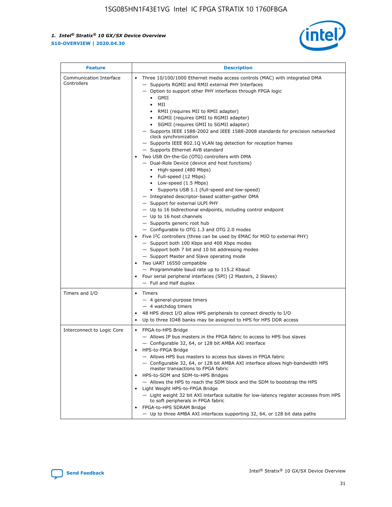

| <b>Feature</b>                         | <b>Description</b>                                                                                                                                                                                                                                                                                                                                                                                                                                                                                                                                                                                                                                                                                                                                                                                                                                                                                                                                                                                                                                                                                                                                                                                                                                                                                                                                                                                                                                                                                                     |
|----------------------------------------|------------------------------------------------------------------------------------------------------------------------------------------------------------------------------------------------------------------------------------------------------------------------------------------------------------------------------------------------------------------------------------------------------------------------------------------------------------------------------------------------------------------------------------------------------------------------------------------------------------------------------------------------------------------------------------------------------------------------------------------------------------------------------------------------------------------------------------------------------------------------------------------------------------------------------------------------------------------------------------------------------------------------------------------------------------------------------------------------------------------------------------------------------------------------------------------------------------------------------------------------------------------------------------------------------------------------------------------------------------------------------------------------------------------------------------------------------------------------------------------------------------------------|
| Communication Interface<br>Controllers | Three 10/100/1000 Ethernet media access controls (MAC) with integrated DMA<br>$\bullet$<br>- Supports RGMII and RMII external PHY Interfaces<br>- Option to support other PHY interfaces through FPGA logic<br>$\bullet$ GMII<br>MII<br>$\bullet$<br>RMII (requires MII to RMII adapter)<br>$\bullet$<br>• RGMII (requires GMII to RGMII adapter)<br>SGMII (requires GMII to SGMII adapter)<br>- Supports IEEE 1588-2002 and IEEE 1588-2008 standards for precision networked<br>clock synchronization<br>- Supports IEEE 802.1Q VLAN tag detection for reception frames<br>- Supports Ethernet AVB standard<br>Two USB On-the-Go (OTG) controllers with DMA<br>- Dual-Role Device (device and host functions)<br>• High-speed (480 Mbps)<br>• Full-speed (12 Mbps)<br>• Low-speed (1.5 Mbps)<br>• Supports USB 1.1 (full-speed and low-speed)<br>- Integrated descriptor-based scatter-gather DMA<br>- Support for external ULPI PHY<br>- Up to 16 bidirectional endpoints, including control endpoint<br>$-$ Up to 16 host channels<br>- Supports generic root hub<br>- Configurable to OTG 1.3 and OTG 2.0 modes<br>Five $I2C$ controllers (three can be used by EMAC for MIO to external PHY)<br>- Support both 100 Kbps and 400 Kbps modes<br>- Support both 7 bit and 10 bit addressing modes<br>- Support Master and Slave operating mode<br>Two UART 16550 compatible<br>- Programmable baud rate up to 115.2 Kbaud<br>Four serial peripheral interfaces (SPI) (2 Masters, 2 Slaves)<br>- Full and Half duplex |
| Timers and I/O                         | Timers<br>$\bullet$<br>- 4 general-purpose timers<br>$-4$ watchdog timers<br>48 HPS direct I/O allow HPS peripherals to connect directly to I/O<br>Up to three IO48 banks may be assigned to HPS for HPS DDR access                                                                                                                                                                                                                                                                                                                                                                                                                                                                                                                                                                                                                                                                                                                                                                                                                                                                                                                                                                                                                                                                                                                                                                                                                                                                                                    |
| Interconnect to Logic Core             | • FPGA-to-HPS Bridge<br>- Allows IP bus masters in the FPGA fabric to access to HPS bus slaves<br>- Configurable 32, 64, or 128 bit AMBA AXI interface<br>HPS-to-FPGA Bridge<br>- Allows HPS bus masters to access bus slaves in FPGA fabric<br>- Configurable 32, 64, or 128 bit AMBA AXI interface allows high-bandwidth HPS<br>master transactions to FPGA fabric<br>HPS-to-SDM and SDM-to-HPS Bridges<br>- Allows the HPS to reach the SDM block and the SDM to bootstrap the HPS<br>Light Weight HPS-to-FPGA Bridge<br>- Light weight 32 bit AXI interface suitable for low-latency register accesses from HPS<br>to soft peripherals in FPGA fabric<br>FPGA-to-HPS SDRAM Bridge<br>- Up to three AMBA AXI interfaces supporting 32, 64, or 128 bit data paths                                                                                                                                                                                                                                                                                                                                                                                                                                                                                                                                                                                                                                                                                                                                                    |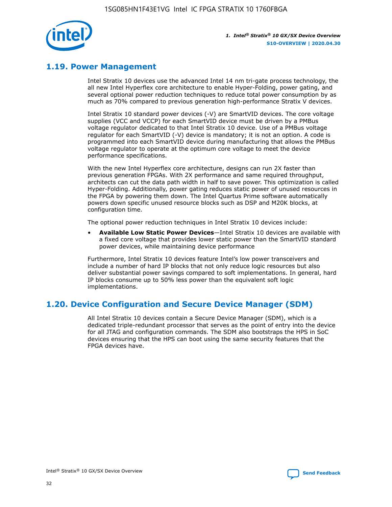

### **1.19. Power Management**

Intel Stratix 10 devices use the advanced Intel 14 nm tri-gate process technology, the all new Intel Hyperflex core architecture to enable Hyper-Folding, power gating, and several optional power reduction techniques to reduce total power consumption by as much as 70% compared to previous generation high-performance Stratix V devices.

Intel Stratix 10 standard power devices (-V) are SmartVID devices. The core voltage supplies (VCC and VCCP) for each SmartVID device must be driven by a PMBus voltage regulator dedicated to that Intel Stratix 10 device. Use of a PMBus voltage regulator for each SmartVID (-V) device is mandatory; it is not an option. A code is programmed into each SmartVID device during manufacturing that allows the PMBus voltage regulator to operate at the optimum core voltage to meet the device performance specifications.

With the new Intel Hyperflex core architecture, designs can run 2X faster than previous generation FPGAs. With 2X performance and same required throughput, architects can cut the data path width in half to save power. This optimization is called Hyper-Folding. Additionally, power gating reduces static power of unused resources in the FPGA by powering them down. The Intel Quartus Prime software automatically powers down specific unused resource blocks such as DSP and M20K blocks, at configuration time.

The optional power reduction techniques in Intel Stratix 10 devices include:

• **Available Low Static Power Devices**—Intel Stratix 10 devices are available with a fixed core voltage that provides lower static power than the SmartVID standard power devices, while maintaining device performance

Furthermore, Intel Stratix 10 devices feature Intel's low power transceivers and include a number of hard IP blocks that not only reduce logic resources but also deliver substantial power savings compared to soft implementations. In general, hard IP blocks consume up to 50% less power than the equivalent soft logic implementations.

### **1.20. Device Configuration and Secure Device Manager (SDM)**

All Intel Stratix 10 devices contain a Secure Device Manager (SDM), which is a dedicated triple-redundant processor that serves as the point of entry into the device for all JTAG and configuration commands. The SDM also bootstraps the HPS in SoC devices ensuring that the HPS can boot using the same security features that the FPGA devices have.

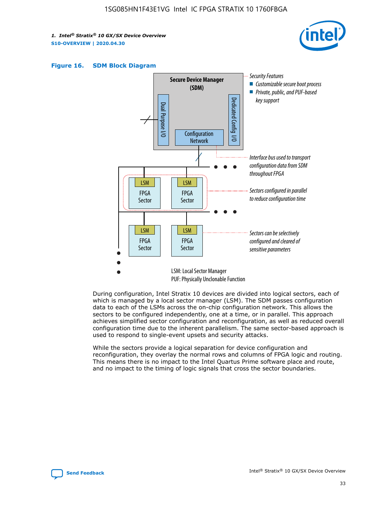





During configuration, Intel Stratix 10 devices are divided into logical sectors, each of which is managed by a local sector manager (LSM). The SDM passes configuration data to each of the LSMs across the on-chip configuration network. This allows the sectors to be configured independently, one at a time, or in parallel. This approach achieves simplified sector configuration and reconfiguration, as well as reduced overall configuration time due to the inherent parallelism. The same sector-based approach is used to respond to single-event upsets and security attacks.

While the sectors provide a logical separation for device configuration and reconfiguration, they overlay the normal rows and columns of FPGA logic and routing. This means there is no impact to the Intel Quartus Prime software place and route, and no impact to the timing of logic signals that cross the sector boundaries.

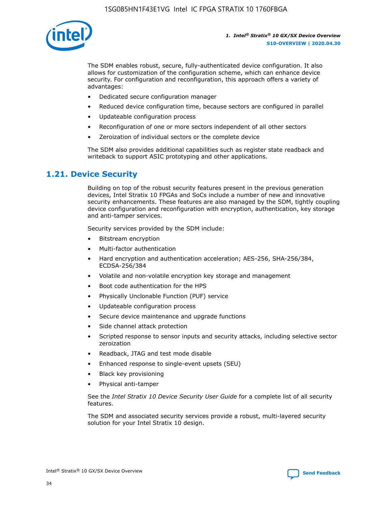

The SDM enables robust, secure, fully-authenticated device configuration. It also allows for customization of the configuration scheme, which can enhance device security. For configuration and reconfiguration, this approach offers a variety of advantages:

- Dedicated secure configuration manager
- Reduced device configuration time, because sectors are configured in parallel
- Updateable configuration process
- Reconfiguration of one or more sectors independent of all other sectors
- Zeroization of individual sectors or the complete device

The SDM also provides additional capabilities such as register state readback and writeback to support ASIC prototyping and other applications.

### **1.21. Device Security**

Building on top of the robust security features present in the previous generation devices, Intel Stratix 10 FPGAs and SoCs include a number of new and innovative security enhancements. These features are also managed by the SDM, tightly coupling device configuration and reconfiguration with encryption, authentication, key storage and anti-tamper services.

Security services provided by the SDM include:

- Bitstream encryption
- Multi-factor authentication
- Hard encryption and authentication acceleration; AES-256, SHA-256/384, ECDSA-256/384
- Volatile and non-volatile encryption key storage and management
- Boot code authentication for the HPS
- Physically Unclonable Function (PUF) service
- Updateable configuration process
- Secure device maintenance and upgrade functions
- Side channel attack protection
- Scripted response to sensor inputs and security attacks, including selective sector zeroization
- Readback, JTAG and test mode disable
- Enhanced response to single-event upsets (SEU)
- Black key provisioning
- Physical anti-tamper

See the *Intel Stratix 10 Device Security User Guide* for a complete list of all security features.

The SDM and associated security services provide a robust, multi-layered security solution for your Intel Stratix 10 design.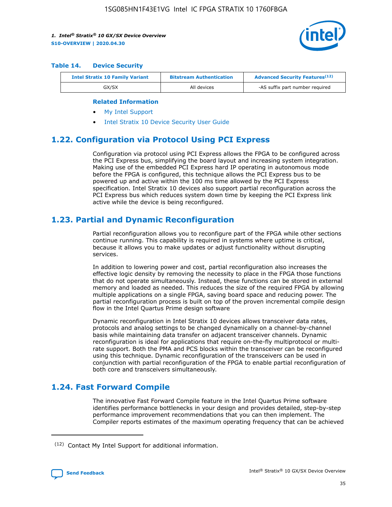

#### **Table 14. Device Security**

| <b>Intel Stratix 10 Family Variant</b> | <b>Bitstream Authentication</b> | <b>Advanced Security Features</b> <sup>(12)</sup> |  |
|----------------------------------------|---------------------------------|---------------------------------------------------|--|
| GX/SX                                  | All devices                     | -AS suffix part number required                   |  |

#### **Related Information**

- [My Intel Support](https://www.intel.com/content/www/us/en/programmable/my-intel/mal-home.html)
- [Intel Stratix 10 Device Security User Guide](https://www.intel.com/content/www/us/en/programmable/documentation/ndq1483601370898.html#wcd1483611014402)

### **1.22. Configuration via Protocol Using PCI Express**

Configuration via protocol using PCI Express allows the FPGA to be configured across the PCI Express bus, simplifying the board layout and increasing system integration. Making use of the embedded PCI Express hard IP operating in autonomous mode before the FPGA is configured, this technique allows the PCI Express bus to be powered up and active within the 100 ms time allowed by the PCI Express specification. Intel Stratix 10 devices also support partial reconfiguration across the PCI Express bus which reduces system down time by keeping the PCI Express link active while the device is being reconfigured.

### **1.23. Partial and Dynamic Reconfiguration**

Partial reconfiguration allows you to reconfigure part of the FPGA while other sections continue running. This capability is required in systems where uptime is critical, because it allows you to make updates or adjust functionality without disrupting services.

In addition to lowering power and cost, partial reconfiguration also increases the effective logic density by removing the necessity to place in the FPGA those functions that do not operate simultaneously. Instead, these functions can be stored in external memory and loaded as needed. This reduces the size of the required FPGA by allowing multiple applications on a single FPGA, saving board space and reducing power. The partial reconfiguration process is built on top of the proven incremental compile design flow in the Intel Quartus Prime design software

Dynamic reconfiguration in Intel Stratix 10 devices allows transceiver data rates, protocols and analog settings to be changed dynamically on a channel-by-channel basis while maintaining data transfer on adjacent transceiver channels. Dynamic reconfiguration is ideal for applications that require on-the-fly multiprotocol or multirate support. Both the PMA and PCS blocks within the transceiver can be reconfigured using this technique. Dynamic reconfiguration of the transceivers can be used in conjunction with partial reconfiguration of the FPGA to enable partial reconfiguration of both core and transceivers simultaneously.

### **1.24. Fast Forward Compile**

The innovative Fast Forward Compile feature in the Intel Quartus Prime software identifies performance bottlenecks in your design and provides detailed, step-by-step performance improvement recommendations that you can then implement. The Compiler reports estimates of the maximum operating frequency that can be achieved

<sup>(12)</sup> Contact My Intel Support for additional information.

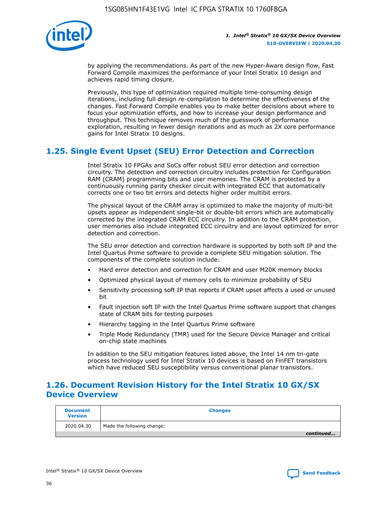

by applying the recommendations. As part of the new Hyper-Aware design flow, Fast Forward Compile maximizes the performance of your Intel Stratix 10 design and achieves rapid timing closure.

Previously, this type of optimization required multiple time-consuming design iterations, including full design re-compilation to determine the effectiveness of the changes. Fast Forward Compile enables you to make better decisions about where to focus your optimization efforts, and how to increase your design performance and throughput. This technique removes much of the guesswork of performance exploration, resulting in fewer design iterations and as much as 2X core performance gains for Intel Stratix 10 designs.

### **1.25. Single Event Upset (SEU) Error Detection and Correction**

Intel Stratix 10 FPGAs and SoCs offer robust SEU error detection and correction circuitry. The detection and correction circuitry includes protection for Configuration RAM (CRAM) programming bits and user memories. The CRAM is protected by a continuously running parity checker circuit with integrated ECC that automatically corrects one or two bit errors and detects higher order multibit errors.

The physical layout of the CRAM array is optimized to make the majority of multi-bit upsets appear as independent single-bit or double-bit errors which are automatically corrected by the integrated CRAM ECC circuitry. In addition to the CRAM protection, user memories also include integrated ECC circuitry and are layout optimized for error detection and correction.

The SEU error detection and correction hardware is supported by both soft IP and the Intel Quartus Prime software to provide a complete SEU mitigation solution. The components of the complete solution include:

- Hard error detection and correction for CRAM and user M20K memory blocks
- Optimized physical layout of memory cells to minimize probability of SEU
- Sensitivity processing soft IP that reports if CRAM upset affects a used or unused bit
- Fault injection soft IP with the Intel Quartus Prime software support that changes state of CRAM bits for testing purposes
- Hierarchy tagging in the Intel Quartus Prime software
- Triple Mode Redundancy (TMR) used for the Secure Device Manager and critical on-chip state machines

In addition to the SEU mitigation features listed above, the Intel 14 nm tri-gate process technology used for Intel Stratix 10 devices is based on FinFET transistors which have reduced SEU susceptibility versus conventional planar transistors.

### **1.26. Document Revision History for the Intel Stratix 10 GX/SX Device Overview**

| <b>Document</b><br><b>Version</b> | <b>Changes</b>             |
|-----------------------------------|----------------------------|
| 2020.04.30                        | Made the following change: |
|                                   | continued                  |

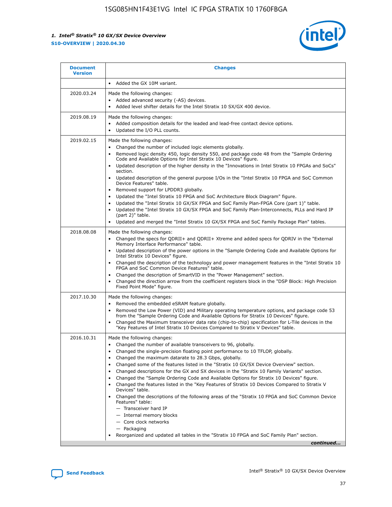

| <b>Document</b><br><b>Version</b> | <b>Changes</b>                                                                                                                                                                                                                                                                                                                                                                                                                                                                                                                                                                                                                                                                                                                                                                                                                                                                                                                                                                                              |
|-----------------------------------|-------------------------------------------------------------------------------------------------------------------------------------------------------------------------------------------------------------------------------------------------------------------------------------------------------------------------------------------------------------------------------------------------------------------------------------------------------------------------------------------------------------------------------------------------------------------------------------------------------------------------------------------------------------------------------------------------------------------------------------------------------------------------------------------------------------------------------------------------------------------------------------------------------------------------------------------------------------------------------------------------------------|
|                                   | Added the GX 10M variant.                                                                                                                                                                                                                                                                                                                                                                                                                                                                                                                                                                                                                                                                                                                                                                                                                                                                                                                                                                                   |
| 2020.03.24                        | Made the following changes:<br>Added advanced security (-AS) devices.<br>Added level shifter details for the Intel Stratix 10 SX/GX 400 device.                                                                                                                                                                                                                                                                                                                                                                                                                                                                                                                                                                                                                                                                                                                                                                                                                                                             |
| 2019.08.19                        | Made the following changes:<br>Added composition details for the leaded and lead-free contact device options.<br>$\bullet$<br>Updated the I/O PLL counts.                                                                                                                                                                                                                                                                                                                                                                                                                                                                                                                                                                                                                                                                                                                                                                                                                                                   |
| 2019.02.15                        | Made the following changes:<br>Changed the number of included logic elements globally.<br>$\bullet$<br>Removed logic density 450, logic density 550, and package code 48 from the "Sample Ordering<br>$\bullet$<br>Code and Available Options for Intel Stratix 10 Devices" figure.<br>Updated description of the higher density in the "Innovations in Intel Stratix 10 FPGAs and SoCs"<br>section.<br>Updated description of the general purpose I/Os in the "Intel Stratix 10 FPGA and SoC Common<br>$\bullet$<br>Device Features" table.<br>Removed support for LPDDR3 globally.<br>Updated the "Intel Stratix 10 FPGA and SoC Architecture Block Diagram" figure.<br>$\bullet$<br>Updated the "Intel Stratix 10 GX/SX FPGA and SoC Family Plan-FPGA Core (part 1)" table.<br>$\bullet$<br>Updated the "Intel Stratix 10 GX/SX FPGA and SoC Family Plan-Interconnects, PLLs and Hard IP<br>(part 2)" table.<br>Updated and merged the "Intel Stratix 10 GX/SX FPGA and SoC Family Package Plan" tables. |
| 2018.08.08                        | Made the following changes:<br>Changed the specs for QDRII+ and QDRII+ Xtreme and added specs for QDRIV in the "External<br>$\bullet$<br>Memory Interface Performance" table.<br>Updated description of the power options in the "Sample Ordering Code and Available Options for<br>Intel Stratix 10 Devices" figure.<br>Changed the description of the technology and power management features in the "Intel Stratix 10<br>FPGA and SoC Common Device Features" table.<br>Changed the description of SmartVID in the "Power Management" section.<br>Changed the direction arrow from the coefficient registers block in the "DSP Block: High Precision<br>$\bullet$<br>Fixed Point Mode" figure.                                                                                                                                                                                                                                                                                                          |
| 2017.10.30                        | Made the following changes:<br>Removed the embedded eSRAM feature globally.<br>$\bullet$<br>Removed the Low Power (VID) and Military operating temperature options, and package code 53<br>$\bullet$<br>from the "Sample Ordering Code and Available Options for Stratix 10 Devices" figure.<br>Changed the Maximum transceiver data rate (chip-to-chip) specification for L-Tile devices in the<br>"Key Features of Intel Stratix 10 Devices Compared to Stratix V Devices" table.                                                                                                                                                                                                                                                                                                                                                                                                                                                                                                                         |
| 2016.10.31                        | Made the following changes:<br>• Changed the number of available transceivers to 96, globally.<br>Changed the single-precision floating point performance to 10 TFLOP, globally.<br>Changed the maximum datarate to 28.3 Gbps, globally.<br>٠<br>Changed some of the features listed in the "Stratix 10 GX/SX Device Overview" section.<br>$\bullet$<br>Changed descriptions for the GX and SX devices in the "Stratix 10 Family Variants" section.<br>$\bullet$<br>Changed the "Sample Ordering Code and Available Options for Stratix 10 Devices" figure.<br>Changed the features listed in the "Key Features of Stratix 10 Devices Compared to Stratix V<br>Devices" table.<br>Changed the descriptions of the following areas of the "Stratix 10 FPGA and SoC Common Device<br>Features" table:<br>- Transceiver hard IP<br>- Internal memory blocks<br>- Core clock networks<br>- Packaging<br>Reorganized and updated all tables in the "Stratix 10 FPGA and SoC Family Plan" section.                |
|                                   | continued                                                                                                                                                                                                                                                                                                                                                                                                                                                                                                                                                                                                                                                                                                                                                                                                                                                                                                                                                                                                   |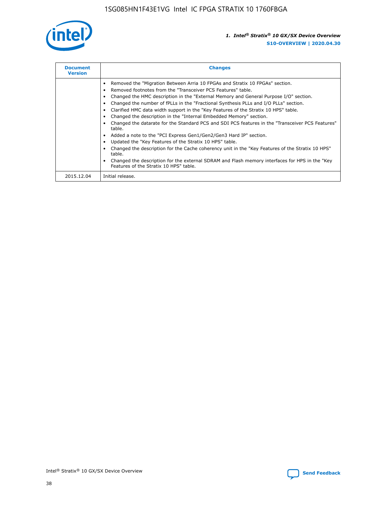

| <b>Document</b><br><b>Version</b> | <b>Changes</b>                                                                                                                                                                                                                                                                                                                                                                                                                                                                                                                                                                                                                                                                                                                                                                                                                                                                                                                                                                                     |
|-----------------------------------|----------------------------------------------------------------------------------------------------------------------------------------------------------------------------------------------------------------------------------------------------------------------------------------------------------------------------------------------------------------------------------------------------------------------------------------------------------------------------------------------------------------------------------------------------------------------------------------------------------------------------------------------------------------------------------------------------------------------------------------------------------------------------------------------------------------------------------------------------------------------------------------------------------------------------------------------------------------------------------------------------|
|                                   | Removed the "Migration Between Arria 10 FPGAs and Stratix 10 FPGAs" section.<br>Removed footnotes from the "Transceiver PCS Features" table.<br>Changed the HMC description in the "External Memory and General Purpose I/O" section.<br>Changed the number of fPLLs in the "Fractional Synthesis PLLs and I/O PLLs" section.<br>Clarified HMC data width support in the "Key Features of the Stratix 10 HPS" table.<br>Changed the description in the "Internal Embedded Memory" section.<br>Changed the datarate for the Standard PCS and SDI PCS features in the "Transceiver PCS Features"<br>table.<br>Added a note to the "PCI Express Gen1/Gen2/Gen3 Hard IP" section.<br>Updated the "Key Features of the Stratix 10 HPS" table.<br>Changed the description for the Cache coherency unit in the "Key Features of the Stratix 10 HPS"<br>table.<br>Changed the description for the external SDRAM and Flash memory interfaces for HPS in the "Key<br>Features of the Stratix 10 HPS" table. |
| 2015.12.04                        | Initial release.                                                                                                                                                                                                                                                                                                                                                                                                                                                                                                                                                                                                                                                                                                                                                                                                                                                                                                                                                                                   |